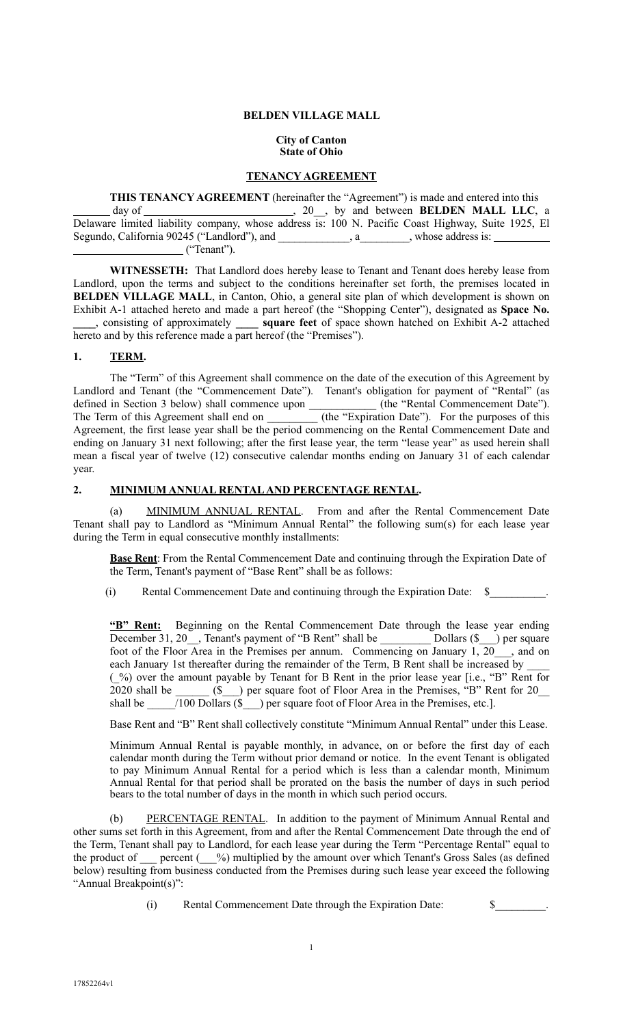### **BELDEN VILLAGE MALL**

### **City of Canton State of Ohio**

### **TENANCY AGREEMENT**

**THIS TENANCY AGREEMENT** (hereinafter the "Agreement") is made and entered into this

day of <u>entitled</u> and solution of the same of the same of the same of the same of the same of the same of the same of the same of the same of the same of the same of the same of the same of the same of the same of the same Delaware limited liability company, whose address is: 100 N. Pacific Coast Highway, Suite 1925, El Segundo, California 90245 ("Landlord"), and \_\_\_\_\_\_\_\_\_\_\_\_, a\_\_\_\_\_\_\_, whose address is: ("Tenant").

**WITNESSETH:** That Landlord does hereby lease to Tenant and Tenant does hereby lease from Landlord, upon the terms and subject to the conditions hereinafter set forth, the premises located in **BELDEN VILLAGE MALL**, in Canton, Ohio, a general site plan of which development is shown on Exhibit A-1 attached hereto and made a part hereof (the "Shopping Center"), designated as **Space No. \_\_\_\_**, consisting of approximately **\_\_\_\_ square feet** of space shown hatched on Exhibit A-2 attached hereto and by this reference made a part hereof (the "Premises").

### **1. TERM.**

 The "Term" of this Agreement shall commence on the date of the execution of this Agreement by Landlord and Tenant (the "Commencement Date"). Tenant's obligation for payment of "Rental" (as defined in Section 3 below) shall commence upon (the "Rental Commencement Date"). defined in Section 3 below) shall commence upon (the "Rental Commencement Date"). The Term of this Agreement shall end on  $($ the "Expiration Date"). For the purposes of this Agreement, the first lease year shall be the period commencing on the Rental Commencement Date and ending on January 31 next following; after the first lease year, the term "lease year" as used herein shall mean a fiscal year of twelve (12) consecutive calendar months ending on January 31 of each calendar year.

### **2. MINIMUM ANNUAL RENTAL AND PERCENTAGE RENTAL.**

 (a) MINIMUM ANNUAL RENTAL. From and after the Rental Commencement Date Tenant shall pay to Landlord as "Minimum Annual Rental" the following sum(s) for each lease year during the Term in equal consecutive monthly installments:

**Base Rent**: From the Rental Commencement Date and continuing through the Expiration Date of the Term, Tenant's payment of "Base Rent" shall be as follows:

(i) Rental Commencement Date and continuing through the Expiration Date: \$\_\_\_\_\_\_\_\_\_\_.

**"B" Rent:** Beginning on the Rental Commencement Date through the lease year ending December 31, 20 . Tenant's payment of "B Rent" shall be Dollars (\$ ) per square foot of the Floor Area in the Premises per annum. Commencing on January 1, 20  $\ldots$ , and on each January 1st thereafter during the remainder of the Term, B Rent shall be increased by (\_%) over the amount payable by Tenant for B Rent in the prior lease year [i.e., "B" Rent for 2020 shall be  $\frac{1}{(8)}$  per square foot of Floor Area in the Premises, "B" Rent for 20 shall be  $\frac{100 \text{ dollars} (\text{S})}{200 \text{ dollars}}$  (Section 2) per square foot of Floor Area in the Premises, etc.].

Base Rent and "B" Rent shall collectively constitute "Minimum Annual Rental" under this Lease.

Minimum Annual Rental is payable monthly, in advance, on or before the first day of each calendar month during the Term without prior demand or notice. In the event Tenant is obligated to pay Minimum Annual Rental for a period which is less than a calendar month, Minimum Annual Rental for that period shall be prorated on the basis the number of days in such period bears to the total number of days in the month in which such period occurs.

PERCENTAGE RENTAL. In addition to the payment of Minimum Annual Rental and other sums set forth in this Agreement, from and after the Rental Commencement Date through the end of the Term, Tenant shall pay to Landlord, for each lease year during the Term "Percentage Rental" equal to the product of \_\_\_ percent (\_\_%) multiplied by the amount over which Tenant's Gross Sales (as defined below) resulting from business conducted from the Premises during such lease year exceed the following "Annual Breakpoint(s)":

(i) Rental Commencement Date through the Expiration Date: \$\_\_\_\_\_\_\_\_\_.

1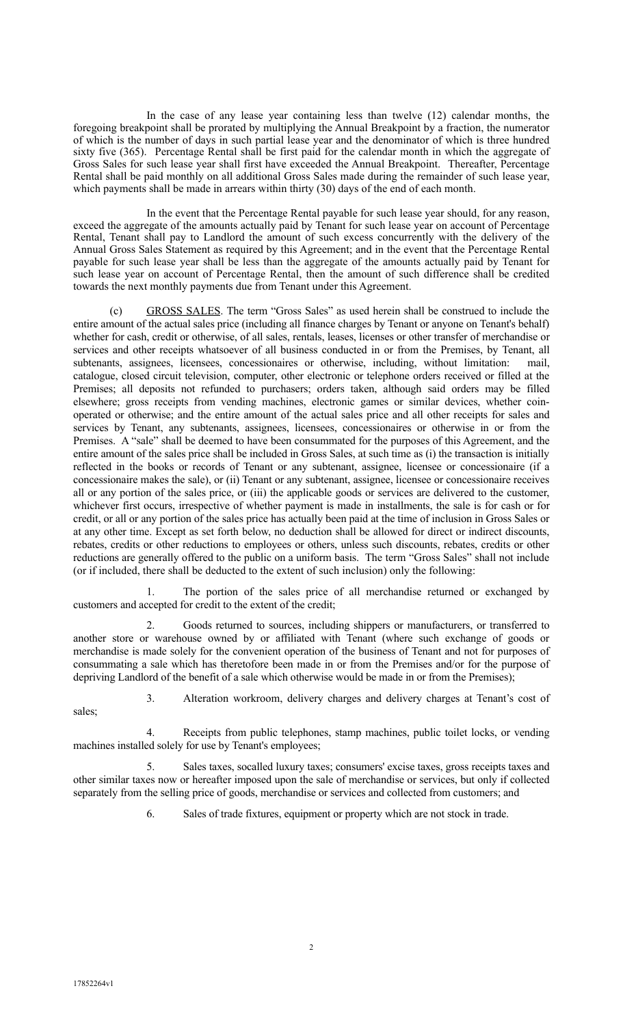In the case of any lease year containing less than twelve (12) calendar months, the foregoing breakpoint shall be prorated by multiplying the Annual Breakpoint by a fraction, the numerator of which is the number of days in such partial lease year and the denominator of which is three hundred sixty five (365). Percentage Rental shall be first paid for the calendar month in which the aggregate of Gross Sales for such lease year shall first have exceeded the Annual Breakpoint. Thereafter, Percentage Rental shall be paid monthly on all additional Gross Sales made during the remainder of such lease year, which payments shall be made in arrears within thirty (30) days of the end of each month.

In the event that the Percentage Rental payable for such lease year should, for any reason, exceed the aggregate of the amounts actually paid by Tenant for such lease year on account of Percentage Rental, Tenant shall pay to Landlord the amount of such excess concurrently with the delivery of the Annual Gross Sales Statement as required by this Agreement; and in the event that the Percentage Rental payable for such lease year shall be less than the aggregate of the amounts actually paid by Tenant for such lease year on account of Percentage Rental, then the amount of such difference shall be credited towards the next monthly payments due from Tenant under this Agreement.

GROSS SALES. The term "Gross Sales" as used herein shall be construed to include the entire amount of the actual sales price (including all finance charges by Tenant or anyone on Tenant's behalf) whether for cash, credit or otherwise, of all sales, rentals, leases, licenses or other transfer of merchandise or services and other receipts whatsoever of all business conducted in or from the Premises, by Tenant, all subtenants, assignees, licensees, concessionaires or otherwise, including, without limitation: mail, catalogue, closed circuit television, computer, other electronic or telephone orders received or filled at the Premises; all deposits not refunded to purchasers; orders taken, although said orders may be filled elsewhere; gross receipts from vending machines, electronic games or similar devices, whether coinoperated or otherwise; and the entire amount of the actual sales price and all other receipts for sales and services by Tenant, any subtenants, assignees, licensees, concessionaires or otherwise in or from the Premises. A "sale" shall be deemed to have been consummated for the purposes of this Agreement, and the entire amount of the sales price shall be included in Gross Sales, at such time as (i) the transaction is initially reflected in the books or records of Tenant or any subtenant, assignee, licensee or concessionaire (if a concessionaire makes the sale), or (ii) Tenant or any subtenant, assignee, licensee or concessionaire receives all or any portion of the sales price, or (iii) the applicable goods or services are delivered to the customer, whichever first occurs, irrespective of whether payment is made in installments, the sale is for cash or for credit, or all or any portion of the sales price has actually been paid at the time of inclusion in Gross Sales or at any other time. Except as set forth below, no deduction shall be allowed for direct or indirect discounts, rebates, credits or other reductions to employees or others, unless such discounts, rebates, credits or other reductions are generally offered to the public on a uniform basis. The term "Gross Sales" shall not include (or if included, there shall be deducted to the extent of such inclusion) only the following:

 1. The portion of the sales price of all merchandise returned or exchanged by customers and accepted for credit to the extent of the credit;

 2. Goods returned to sources, including shippers or manufacturers, or transferred to another store or warehouse owned by or affiliated with Tenant (where such exchange of goods or merchandise is made solely for the convenient operation of the business of Tenant and not for purposes of consummating a sale which has theretofore been made in or from the Premises and/or for the purpose of depriving Landlord of the benefit of a sale which otherwise would be made in or from the Premises);

sales;

3. Alteration workroom, delivery charges and delivery charges at Tenant's cost of

 4. Receipts from public telephones, stamp machines, public toilet locks, or vending machines installed solely for use by Tenant's employees;

 5. Sales taxes, socalled luxury taxes; consumers' excise taxes, gross receipts taxes and other similar taxes now or hereafter imposed upon the sale of merchandise or services, but only if collected separately from the selling price of goods, merchandise or services and collected from customers; and

6. Sales of trade fixtures, equipment or property which are not stock in trade.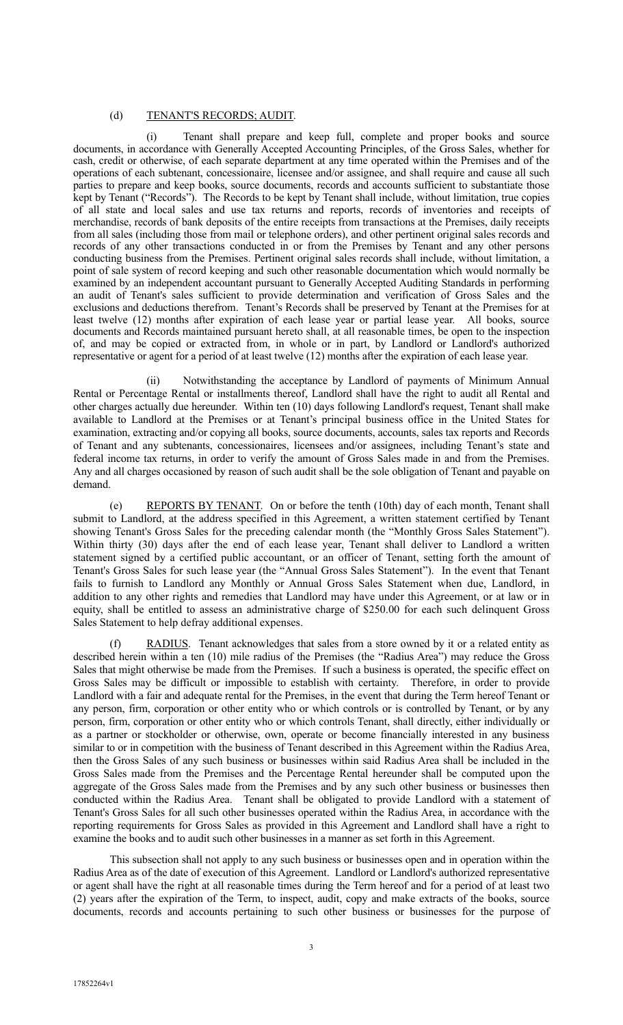### (d) TENANT'S RECORDS; AUDIT.

 (i) Tenant shall prepare and keep full, complete and proper books and source documents, in accordance with Generally Accepted Accounting Principles, of the Gross Sales, whether for cash, credit or otherwise, of each separate department at any time operated within the Premises and of the operations of each subtenant, concessionaire, licensee and/or assignee, and shall require and cause all such parties to prepare and keep books, source documents, records and accounts sufficient to substantiate those kept by Tenant ("Records"). The Records to be kept by Tenant shall include, without limitation, true copies of all state and local sales and use tax returns and reports, records of inventories and receipts of merchandise, records of bank deposits of the entire receipts from transactions at the Premises, daily receipts from all sales (including those from mail or telephone orders), and other pertinent original sales records and records of any other transactions conducted in or from the Premises by Tenant and any other persons conducting business from the Premises. Pertinent original sales records shall include, without limitation, a point of sale system of record keeping and such other reasonable documentation which would normally be examined by an independent accountant pursuant to Generally Accepted Auditing Standards in performing an audit of Tenant's sales sufficient to provide determination and verification of Gross Sales and the exclusions and deductions therefrom. Tenant's Records shall be preserved by Tenant at the Premises for at least twelve (12) months after expiration of each lease year or partial lease year. All books, source documents and Records maintained pursuant hereto shall, at all reasonable times, be open to the inspection of, and may be copied or extracted from, in whole or in part, by Landlord or Landlord's authorized representative or agent for a period of at least twelve (12) months after the expiration of each lease year.

 (ii) Notwithstanding the acceptance by Landlord of payments of Minimum Annual Rental or Percentage Rental or installments thereof, Landlord shall have the right to audit all Rental and other charges actually due hereunder. Within ten (10) days following Landlord's request, Tenant shall make available to Landlord at the Premises or at Tenant's principal business office in the United States for examination, extracting and/or copying all books, source documents, accounts, sales tax reports and Records of Tenant and any subtenants, concessionaires, licensees and/or assignees, including Tenant's state and federal income tax returns, in order to verify the amount of Gross Sales made in and from the Premises. Any and all charges occasioned by reason of such audit shall be the sole obligation of Tenant and payable on demand.

 (e) REPORTS BY TENANT. On or before the tenth (10th) day of each month, Tenant shall submit to Landlord, at the address specified in this Agreement, a written statement certified by Tenant showing Tenant's Gross Sales for the preceding calendar month (the "Monthly Gross Sales Statement"). Within thirty (30) days after the end of each lease year, Tenant shall deliver to Landlord a written statement signed by a certified public accountant, or an officer of Tenant, setting forth the amount of Tenant's Gross Sales for such lease year (the "Annual Gross Sales Statement"). In the event that Tenant fails to furnish to Landlord any Monthly or Annual Gross Sales Statement when due, Landlord, in addition to any other rights and remedies that Landlord may have under this Agreement, or at law or in equity, shall be entitled to assess an administrative charge of \$250.00 for each such delinquent Gross Sales Statement to help defray additional expenses.

 (f) RADIUS. Tenant acknowledges that sales from a store owned by it or a related entity as described herein within a ten (10) mile radius of the Premises (the "Radius Area") may reduce the Gross Sales that might otherwise be made from the Premises. If such a business is operated, the specific effect on Gross Sales may be difficult or impossible to establish with certainty. Therefore, in order to provide Landlord with a fair and adequate rental for the Premises, in the event that during the Term hereof Tenant or any person, firm, corporation or other entity who or which controls or is controlled by Tenant, or by any person, firm, corporation or other entity who or which controls Tenant, shall directly, either individually or as a partner or stockholder or otherwise, own, operate or become financially interested in any business similar to or in competition with the business of Tenant described in this Agreement within the Radius Area, then the Gross Sales of any such business or businesses within said Radius Area shall be included in the Gross Sales made from the Premises and the Percentage Rental hereunder shall be computed upon the aggregate of the Gross Sales made from the Premises and by any such other business or businesses then conducted within the Radius Area. Tenant shall be obligated to provide Landlord with a statement of Tenant's Gross Sales for all such other businesses operated within the Radius Area, in accordance with the reporting requirements for Gross Sales as provided in this Agreement and Landlord shall have a right to examine the books and to audit such other businesses in a manner as set forth in this Agreement.

This subsection shall not apply to any such business or businesses open and in operation within the Radius Area as of the date of execution of this Agreement. Landlord or Landlord's authorized representative or agent shall have the right at all reasonable times during the Term hereof and for a period of at least two (2) years after the expiration of the Term, to inspect, audit, copy and make extracts of the books, source documents, records and accounts pertaining to such other business or businesses for the purpose of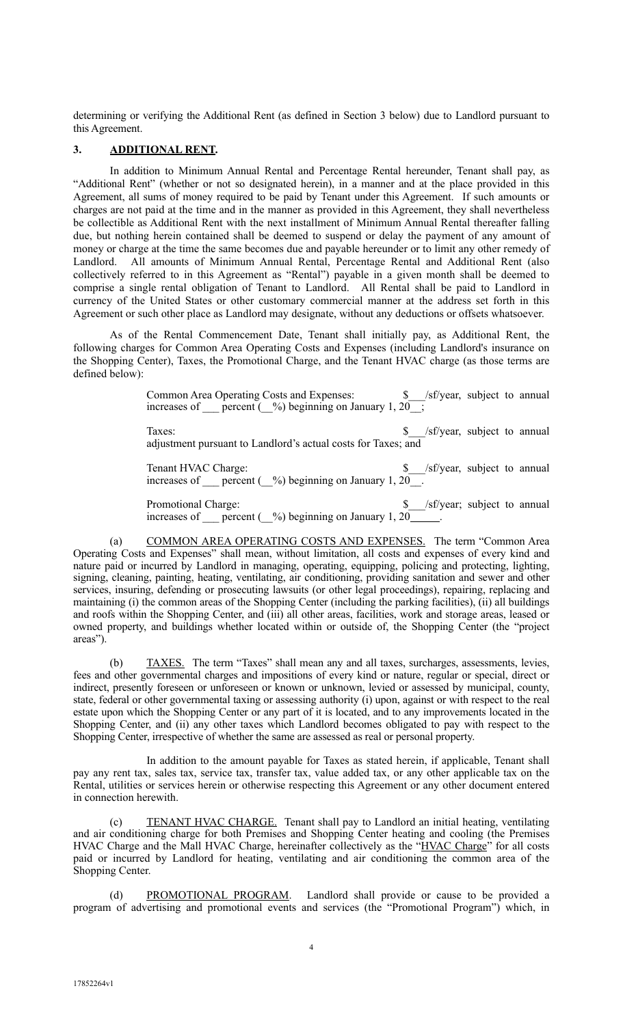determining or verifying the Additional Rent (as defined in Section 3 below) due to Landlord pursuant to this Agreement.

### **3. ADDITIONAL RENT.**

In addition to Minimum Annual Rental and Percentage Rental hereunder, Tenant shall pay, as "Additional Rent" (whether or not so designated herein), in a manner and at the place provided in this Agreement, all sums of money required to be paid by Tenant under this Agreement. If such amounts or charges are not paid at the time and in the manner as provided in this Agreement, they shall nevertheless be collectible as Additional Rent with the next installment of Minimum Annual Rental thereafter falling due, but nothing herein contained shall be deemed to suspend or delay the payment of any amount of money or charge at the time the same becomes due and payable hereunder or to limit any other remedy of Landlord. All amounts of Minimum Annual Rental, Percentage Rental and Additional Rent (also collectively referred to in this Agreement as "Rental") payable in a given month shall be deemed to comprise a single rental obligation of Tenant to Landlord. All Rental shall be paid to Landlord in currency of the United States or other customary commercial manner at the address set forth in this Agreement or such other place as Landlord may designate, without any deductions or offsets whatsoever.

As of the Rental Commencement Date, Tenant shall initially pay, as Additional Rent, the following charges for Common Area Operating Costs and Expenses (including Landlord's insurance on the Shopping Center), Taxes, the Promotional Charge, and the Tenant HVAC charge (as those terms are defined below):

> Common Area Operating Costs and Expenses: \ \times\starrap\sqrt{\text{\starrap\starrap\starrap\starrap\starrap\starrap\starrap\starrap\starrap\starrap\starrap\starrap\starrap\starrap\starrap\starrap\starrap\starrap\starrap increases of percent  $(\frac{\infty}{6})$  beginning on January 1, 20 ;

> Taxes:  $\frac{1}{2}$  Taxes:  $\frac{1}{2}$  Taxes: adjustment pursuant to Landlord's actual costs for Taxes; and

> Tenant HVAC Charge:  $\frac{s}{s}$  /sf/year, subject to annual increases of percent  $(\frac{\infty}{6})$  beginning on January 1, 20.

> Promotional Charge:  $\frac{s}{s}$  /sf/year; subject to annual increases of percent  $(\frac{\%}{\%})$  beginning on January 1, 20  $\frac{\%}{\%}$

(a) COMMON AREA OPERATING COSTS AND EXPENSES. The term "Common Area Operating Costs and Expenses" shall mean, without limitation, all costs and expenses of every kind and nature paid or incurred by Landlord in managing, operating, equipping, policing and protecting, lighting, signing, cleaning, painting, heating, ventilating, air conditioning, providing sanitation and sewer and other services, insuring, defending or prosecuting lawsuits (or other legal proceedings), repairing, replacing and maintaining (i) the common areas of the Shopping Center (including the parking facilities), (ii) all buildings and roofs within the Shopping Center, and (iii) all other areas, facilities, work and storage areas, leased or owned property, and buildings whether located within or outside of, the Shopping Center (the "project areas").

 (b) TAXES. The term "Taxes" shall mean any and all taxes, surcharges, assessments, levies, fees and other governmental charges and impositions of every kind or nature, regular or special, direct or indirect, presently foreseen or unforeseen or known or unknown, levied or assessed by municipal, county, state, federal or other governmental taxing or assessing authority (i) upon, against or with respect to the real estate upon which the Shopping Center or any part of it is located, and to any improvements located in the Shopping Center, and (ii) any other taxes which Landlord becomes obligated to pay with respect to the Shopping Center, irrespective of whether the same are assessed as real or personal property.

In addition to the amount payable for Taxes as stated herein, if applicable, Tenant shall pay any rent tax, sales tax, service tax, transfer tax, value added tax, or any other applicable tax on the Rental, utilities or services herein or otherwise respecting this Agreement or any other document entered in connection herewith.

(c) TENANT HVAC CHARGE. Tenant shall pay to Landlord an initial heating, ventilating and air conditioning charge for both Premises and Shopping Center heating and cooling (the Premises HVAC Charge and the Mall HVAC Charge, hereinafter collectively as the "HVAC Charge" for all costs paid or incurred by Landlord for heating, ventilating and air conditioning the common area of the Shopping Center.

(d) PROMOTIONAL PROGRAM. Landlord shall provide or cause to be provided a program of advertising and promotional events and services (the "Promotional Program") which, in

4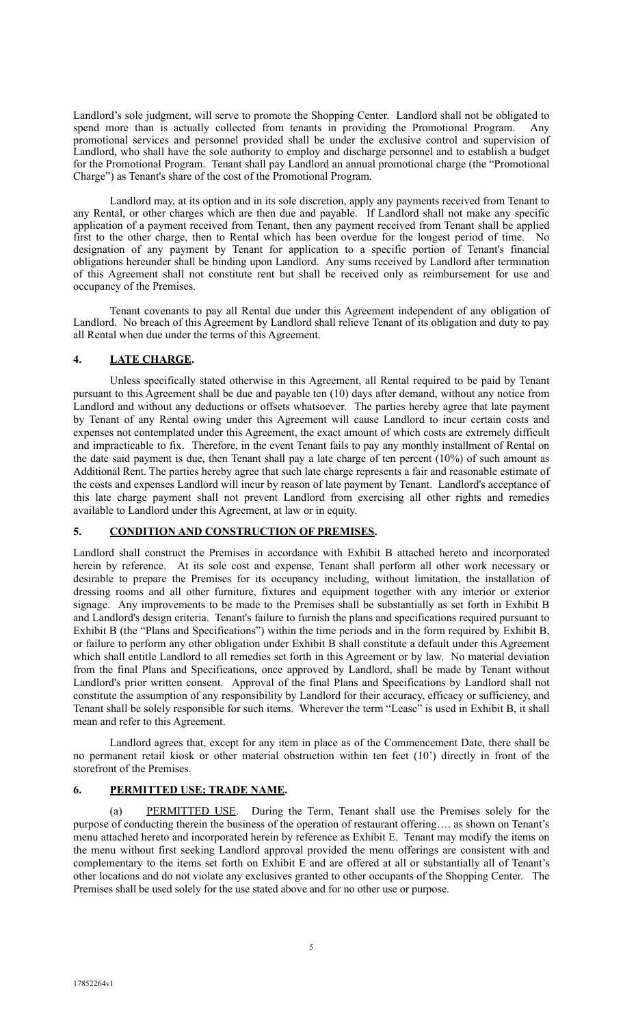Landlord's sole judgment, will serve to promote the Shopping Center. Landlord shall not be obligated to spend more than is actually collected from tenants in providing the Promotional Program. Any promotional services and personnel provided shall be under the exclusive control and supervision of Landlord, who shall have the sole authority to employ and discharge personnel and to establish a budget for the Promotional Program. Tenant shall pay Landlord an annual promotional charge (the "Promotional Charge") as Tenant's share of the cost of the Promotional Program.

 Landlord may, at its option and in its sole discretion, apply any payments received from Tenant to any Rental, or other charges which are then due and payable. If Landlord shall not make any specific application of a payment received from Tenant, then any payment received from Tenant shall be applied first to the other charge, then to Rental which has been overdue for the longest period of time. No designation of any payment by Tenant for application to a specific portion of Tenant's financial obligations hereunder shall be binding upon Landlord. Any sums received by Landlord after termination of this Agreement shall not constitute rent but shall be received only as reimbursement for use and occupancy of the Premises.

 Tenant covenants to pay all Rental due under this Agreement independent of any obligation of Landlord. No breach of this Agreement by Landlord shall relieve Tenant of its obligation and duty to pay all Rental when due under the terms of this Agreement.

# **4. LATE CHARGE.**

 Unless specifically stated otherwise in this Agreement, all Rental required to be paid by Tenant pursuant to this Agreement shall be due and payable ten (10) days after demand, without any notice from Landlord and without any deductions or offsets whatsoever. The parties hereby agree that late payment by Tenant of any Rental owing under this Agreement will cause Landlord to incur certain costs and expenses not contemplated under this Agreement, the exact amount of which costs are extremely difficult and impracticable to fix. Therefore, in the event Tenant fails to pay any monthly installment of Rental on the date said payment is due, then Tenant shall pay a late charge of ten percent (10%) of such amount as Additional Rent. The parties hereby agree that such late charge represents a fair and reasonable estimate of the costs and expenses Landlord will incur by reason of late payment by Tenant. Landlord's acceptance of this late charge payment shall not prevent Landlord from exercising all other rights and remedies available to Landlord under this Agreement, at law or in equity.

# **5. CONDITION AND CONSTRUCTION OF PREMISES.**

Landlord shall construct the Premises in accordance with Exhibit B attached hereto and incorporated herein by reference. At its sole cost and expense, Tenant shall perform all other work necessary or desirable to prepare the Premises for its occupancy including, without limitation, the installation of dressing rooms and all other furniture, fixtures and equipment together with any interior or exterior signage. Any improvements to be made to the Premises shall be substantially as set forth in Exhibit B and Landlord's design criteria. Tenant's failure to furnish the plans and specifications required pursuant to Exhibit B (the "Plans and Specifications") within the time periods and in the form required by Exhibit B, or failure to perform any other obligation under Exhibit B shall constitute a default under this Agreement which shall entitle Landlord to all remedies set forth in this Agreement or by law. No material deviation from the final Plans and Specifications, once approved by Landlord, shall be made by Tenant without Landlord's prior written consent. Approval of the final Plans and Specifications by Landlord shall not constitute the assumption of any responsibility by Landlord for their accuracy, efficacy or sufficiency, and Tenant shall be solely responsible for such items. Wherever the term "Lease" is used in Exhibit B, it shall mean and refer to this Agreement.

Landlord agrees that, except for any item in place as of the Commencement Date, there shall be no permanent retail kiosk or other material obstruction within ten feet (10') directly in front of the storefront of the Premises.

# **6. PERMITTED USE; TRADE NAME.**

PERMITTED USE. During the Term, Tenant shall use the Premises solely for the purpose of conducting therein the business of the operation of restaurant offering…. as shown on Tenant's menu attached hereto and incorporated herein by reference as Exhibit E. Tenant may modify the items on the menu without first seeking Landlord approval provided the menu offerings are consistent with and complementary to the items set forth on Exhibit E and are offered at all or substantially all of Tenant's other locations and do not violate any exclusives granted to other occupants of the Shopping Center. The Premises shall be used solely for the use stated above and for no other use or purpose.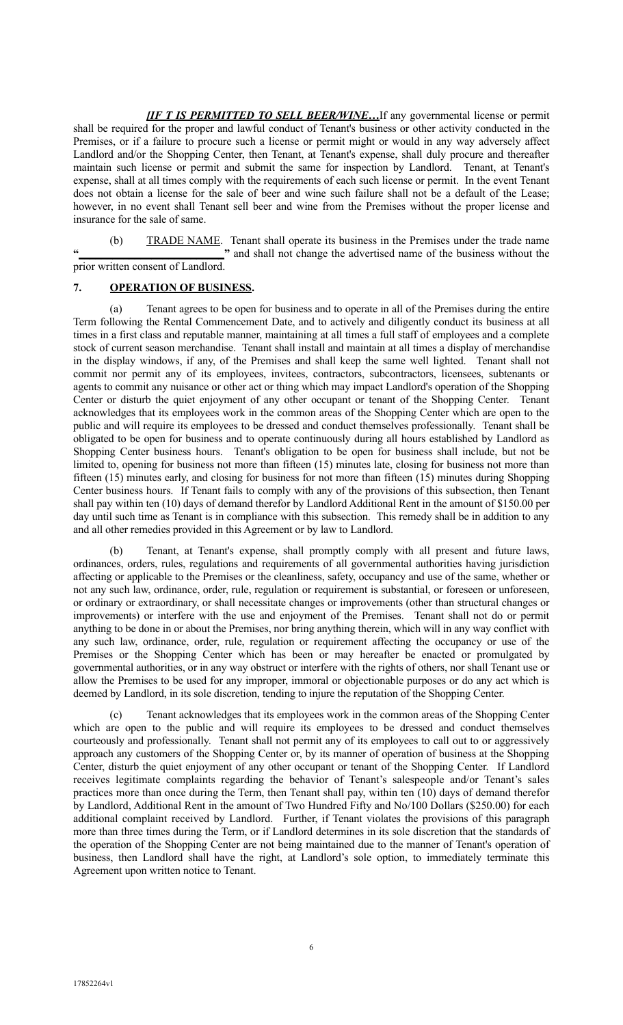*IIF T IS PERMITTED TO SELL BEER/WINE...If any governmental license or permit* shall be required for the proper and lawful conduct of Tenant's business or other activity conducted in the Premises, or if a failure to procure such a license or permit might or would in any way adversely affect Landlord and/or the Shopping Center, then Tenant, at Tenant's expense, shall duly procure and thereafter maintain such license or permit and submit the same for inspection by Landlord. Tenant, at Tenant's expense, shall at all times comply with the requirements of each such license or permit. In the event Tenant does not obtain a license for the sale of beer and wine such failure shall not be a default of the Lease; however, in no event shall Tenant sell beer and wine from the Premises without the proper license and insurance for the sale of same.

 (b) TRADE NAME. Tenant shall operate its business in the Premises under the trade name **"** and shall not change the advertised name of the business without the prior written consent of Landlord.

### **7. OPERATION OF BUSINESS.**

 (a) Tenant agrees to be open for business and to operate in all of the Premises during the entire Term following the Rental Commencement Date, and to actively and diligently conduct its business at all times in a first class and reputable manner, maintaining at all times a full staff of employees and a complete stock of current season merchandise. Tenant shall install and maintain at all times a display of merchandise in the display windows, if any, of the Premises and shall keep the same well lighted. Tenant shall not commit nor permit any of its employees, invitees, contractors, subcontractors, licensees, subtenants or agents to commit any nuisance or other act or thing which may impact Landlord's operation of the Shopping Center or disturb the quiet enjoyment of any other occupant or tenant of the Shopping Center. Tenant acknowledges that its employees work in the common areas of the Shopping Center which are open to the public and will require its employees to be dressed and conduct themselves professionally. Tenant shall be obligated to be open for business and to operate continuously during all hours established by Landlord as Shopping Center business hours. Tenant's obligation to be open for business shall include, but not be limited to, opening for business not more than fifteen (15) minutes late, closing for business not more than fifteen (15) minutes early, and closing for business for not more than fifteen (15) minutes during Shopping Center business hours. If Tenant fails to comply with any of the provisions of this subsection, then Tenant shall pay within ten (10) days of demand therefor by Landlord Additional Rent in the amount of \$150.00 per day until such time as Tenant is in compliance with this subsection. This remedy shall be in addition to any and all other remedies provided in this Agreement or by law to Landlord.

 (b) Tenant, at Tenant's expense, shall promptly comply with all present and future laws, ordinances, orders, rules, regulations and requirements of all governmental authorities having jurisdiction affecting or applicable to the Premises or the cleanliness, safety, occupancy and use of the same, whether or not any such law, ordinance, order, rule, regulation or requirement is substantial, or foreseen or unforeseen, or ordinary or extraordinary, or shall necessitate changes or improvements (other than structural changes or improvements) or interfere with the use and enjoyment of the Premises. Tenant shall not do or permit anything to be done in or about the Premises, nor bring anything therein, which will in any way conflict with any such law, ordinance, order, rule, regulation or requirement affecting the occupancy or use of the Premises or the Shopping Center which has been or may hereafter be enacted or promulgated by governmental authorities, or in any way obstruct or interfere with the rights of others, nor shall Tenant use or allow the Premises to be used for any improper, immoral or objectionable purposes or do any act which is deemed by Landlord, in its sole discretion, tending to injure the reputation of the Shopping Center.

(c) Tenant acknowledges that its employees work in the common areas of the Shopping Center which are open to the public and will require its employees to be dressed and conduct themselves courteously and professionally. Tenant shall not permit any of its employees to call out to or aggressively approach any customers of the Shopping Center or, by its manner of operation of business at the Shopping Center, disturb the quiet enjoyment of any other occupant or tenant of the Shopping Center. If Landlord receives legitimate complaints regarding the behavior of Tenant's salespeople and/or Tenant's sales practices more than once during the Term, then Tenant shall pay, within ten (10) days of demand therefor by Landlord, Additional Rent in the amount of Two Hundred Fifty and No/100 Dollars (\$250.00) for each additional complaint received by Landlord. Further, if Tenant violates the provisions of this paragraph more than three times during the Term, or if Landlord determines in its sole discretion that the standards of the operation of the Shopping Center are not being maintained due to the manner of Tenant's operation of business, then Landlord shall have the right, at Landlord's sole option, to immediately terminate this Agreement upon written notice to Tenant.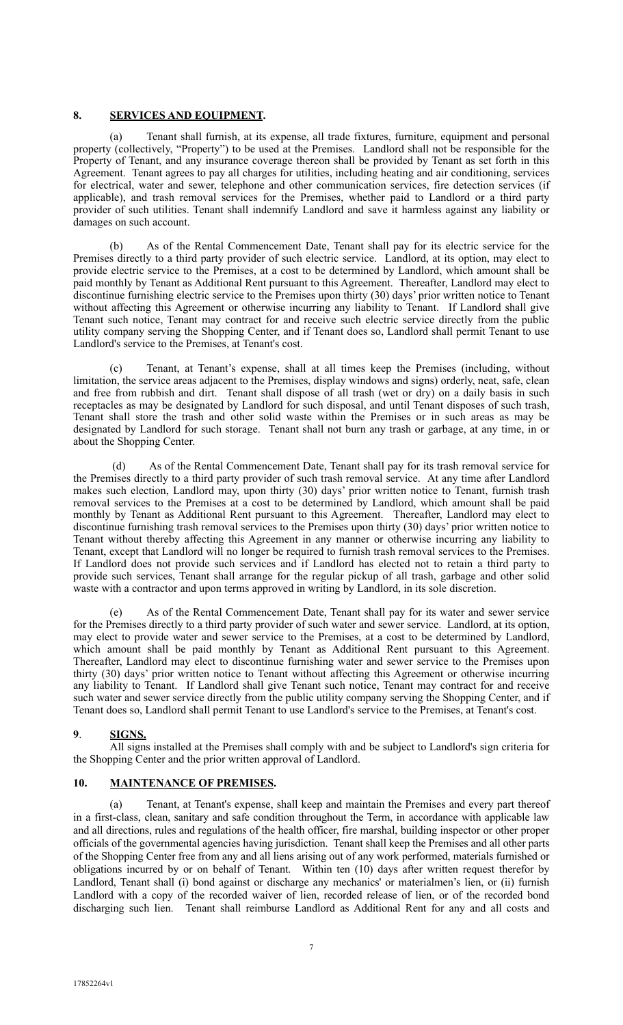### **8. SERVICES AND EQUIPMENT.**

 (a) Tenant shall furnish, at its expense, all trade fixtures, furniture, equipment and personal property (collectively, "Property") to be used at the Premises. Landlord shall not be responsible for the Property of Tenant, and any insurance coverage thereon shall be provided by Tenant as set forth in this Agreement. Tenant agrees to pay all charges for utilities, including heating and air conditioning, services for electrical, water and sewer, telephone and other communication services, fire detection services (if applicable), and trash removal services for the Premises, whether paid to Landlord or a third party provider of such utilities. Tenant shall indemnify Landlord and save it harmless against any liability or damages on such account.

(b) As of the Rental Commencement Date, Tenant shall pay for its electric service for the Premises directly to a third party provider of such electric service. Landlord, at its option, may elect to provide electric service to the Premises, at a cost to be determined by Landlord, which amount shall be paid monthly by Tenant as Additional Rent pursuant to this Agreement. Thereafter, Landlord may elect to discontinue furnishing electric service to the Premises upon thirty (30) days' prior written notice to Tenant without affecting this Agreement or otherwise incurring any liability to Tenant. If Landlord shall give Tenant such notice, Tenant may contract for and receive such electric service directly from the public utility company serving the Shopping Center, and if Tenant does so, Landlord shall permit Tenant to use Landlord's service to the Premises, at Tenant's cost.

Tenant, at Tenant's expense, shall at all times keep the Premises (including, without limitation, the service areas adjacent to the Premises, display windows and signs) orderly, neat, safe, clean and free from rubbish and dirt. Tenant shall dispose of all trash (wet or dry) on a daily basis in such receptacles as may be designated by Landlord for such disposal, and until Tenant disposes of such trash, Tenant shall store the trash and other solid waste within the Premises or in such areas as may be designated by Landlord for such storage. Tenant shall not burn any trash or garbage, at any time, in or about the Shopping Center.

 (d) As of the Rental Commencement Date, Tenant shall pay for its trash removal service for the Premises directly to a third party provider of such trash removal service. At any time after Landlord makes such election, Landlord may, upon thirty (30) days' prior written notice to Tenant, furnish trash removal services to the Premises at a cost to be determined by Landlord, which amount shall be paid monthly by Tenant as Additional Rent pursuant to this Agreement. Thereafter, Landlord may elect to discontinue furnishing trash removal services to the Premises upon thirty (30) days' prior written notice to Tenant without thereby affecting this Agreement in any manner or otherwise incurring any liability to Tenant, except that Landlord will no longer be required to furnish trash removal services to the Premises. If Landlord does not provide such services and if Landlord has elected not to retain a third party to provide such services, Tenant shall arrange for the regular pickup of all trash, garbage and other solid waste with a contractor and upon terms approved in writing by Landlord, in its sole discretion.

(e) As of the Rental Commencement Date, Tenant shall pay for its water and sewer service for the Premises directly to a third party provider of such water and sewer service. Landlord, at its option, may elect to provide water and sewer service to the Premises, at a cost to be determined by Landlord, which amount shall be paid monthly by Tenant as Additional Rent pursuant to this Agreement. Thereafter, Landlord may elect to discontinue furnishing water and sewer service to the Premises upon thirty (30) days' prior written notice to Tenant without affecting this Agreement or otherwise incurring any liability to Tenant. If Landlord shall give Tenant such notice, Tenant may contract for and receive such water and sewer service directly from the public utility company serving the Shopping Center, and if Tenant does so, Landlord shall permit Tenant to use Landlord's service to the Premises, at Tenant's cost.

### **9**. **SIGNS.**

 All signs installed at the Premises shall comply with and be subject to Landlord's sign criteria for the Shopping Center and the prior written approval of Landlord.

### **10. MAINTENANCE OF PREMISES.**

 (a) Tenant, at Tenant's expense, shall keep and maintain the Premises and every part thereof in a first-class, clean, sanitary and safe condition throughout the Term, in accordance with applicable law and all directions, rules and regulations of the health officer, fire marshal, building inspector or other proper officials of the governmental agencies having jurisdiction. Tenant shall keep the Premises and all other parts of the Shopping Center free from any and all liens arising out of any work performed, materials furnished or obligations incurred by or on behalf of Tenant. Within ten (10) days after written request therefor by Landlord, Tenant shall (i) bond against or discharge any mechanics' or materialmen's lien, or (ii) furnish Landlord with a copy of the recorded waiver of lien, recorded release of lien, or of the recorded bond discharging such lien. Tenant shall reimburse Landlord as Additional Rent for any and all costs and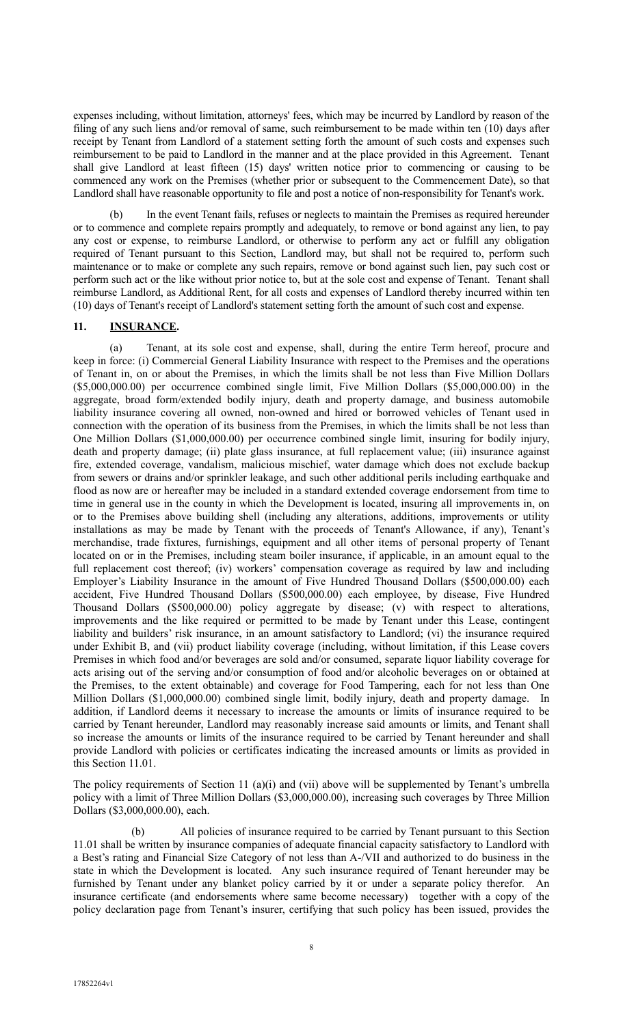expenses including, without limitation, attorneys' fees, which may be incurred by Landlord by reason of the filing of any such liens and/or removal of same, such reimbursement to be made within ten (10) days after receipt by Tenant from Landlord of a statement setting forth the amount of such costs and expenses such reimbursement to be paid to Landlord in the manner and at the place provided in this Agreement. Tenant shall give Landlord at least fifteen (15) days' written notice prior to commencing or causing to be commenced any work on the Premises (whether prior or subsequent to the Commencement Date), so that Landlord shall have reasonable opportunity to file and post a notice of non-responsibility for Tenant's work.

In the event Tenant fails, refuses or neglects to maintain the Premises as required hereunder or to commence and complete repairs promptly and adequately, to remove or bond against any lien, to pay any cost or expense, to reimburse Landlord, or otherwise to perform any act or fulfill any obligation required of Tenant pursuant to this Section, Landlord may, but shall not be required to, perform such maintenance or to make or complete any such repairs, remove or bond against such lien, pay such cost or perform such act or the like without prior notice to, but at the sole cost and expense of Tenant. Tenant shall reimburse Landlord, as Additional Rent, for all costs and expenses of Landlord thereby incurred within ten (10) days of Tenant's receipt of Landlord's statement setting forth the amount of such cost and expense.

### **11. INSURANCE.**

 (a) Tenant, at its sole cost and expense, shall, during the entire Term hereof, procure and keep in force: (i) Commercial General Liability Insurance with respect to the Premises and the operations of Tenant in, on or about the Premises, in which the limits shall be not less than Five Million Dollars (\$5,000,000.00) per occurrence combined single limit, Five Million Dollars (\$5,000,000.00) in the aggregate, broad form/extended bodily injury, death and property damage, and business automobile liability insurance covering all owned, non-owned and hired or borrowed vehicles of Tenant used in connection with the operation of its business from the Premises, in which the limits shall be not less than One Million Dollars (\$1,000,000.00) per occurrence combined single limit, insuring for bodily injury, death and property damage; (ii) plate glass insurance, at full replacement value; (iii) insurance against fire, extended coverage, vandalism, malicious mischief, water damage which does not exclude backup from sewers or drains and/or sprinkler leakage, and such other additional perils including earthquake and flood as now are or hereafter may be included in a standard extended coverage endorsement from time to time in general use in the county in which the Development is located, insuring all improvements in, on or to the Premises above building shell (including any alterations, additions, improvements or utility installations as may be made by Tenant with the proceeds of Tenant's Allowance, if any), Tenant's merchandise, trade fixtures, furnishings, equipment and all other items of personal property of Tenant located on or in the Premises, including steam boiler insurance, if applicable, in an amount equal to the full replacement cost thereof; (iv) workers' compensation coverage as required by law and including Employer's Liability Insurance in the amount of Five Hundred Thousand Dollars (\$500,000.00) each accident, Five Hundred Thousand Dollars (\$500,000.00) each employee, by disease, Five Hundred Thousand Dollars (\$500,000.00) policy aggregate by disease; (v) with respect to alterations, improvements and the like required or permitted to be made by Tenant under this Lease, contingent liability and builders' risk insurance, in an amount satisfactory to Landlord; (vi) the insurance required under Exhibit B, and (vii) product liability coverage (including, without limitation, if this Lease covers Premises in which food and/or beverages are sold and/or consumed, separate liquor liability coverage for acts arising out of the serving and/or consumption of food and/or alcoholic beverages on or obtained at the Premises, to the extent obtainable) and coverage for Food Tampering, each for not less than One Million Dollars (\$1,000,000.00) combined single limit, bodily injury, death and property damage. In addition, if Landlord deems it necessary to increase the amounts or limits of insurance required to be carried by Tenant hereunder, Landlord may reasonably increase said amounts or limits, and Tenant shall so increase the amounts or limits of the insurance required to be carried by Tenant hereunder and shall provide Landlord with policies or certificates indicating the increased amounts or limits as provided in this Section 11.01.

The policy requirements of Section 11 (a)(i) and (vii) above will be supplemented by Tenant's umbrella policy with a limit of Three Million Dollars (\$3,000,000.00), increasing such coverages by Three Million Dollars (\$3,000,000.00), each.

 (b) All policies of insurance required to be carried by Tenant pursuant to this Section 11.01 shall be written by insurance companies of adequate financial capacity satisfactory to Landlord with a Best's rating and Financial Size Category of not less than A-/VII and authorized to do business in the state in which the Development is located. Any such insurance required of Tenant hereunder may be furnished by Tenant under any blanket policy carried by it or under a separate policy therefor. An insurance certificate (and endorsements where same become necessary) together with a copy of the policy declaration page from Tenant's insurer, certifying that such policy has been issued, provides the

8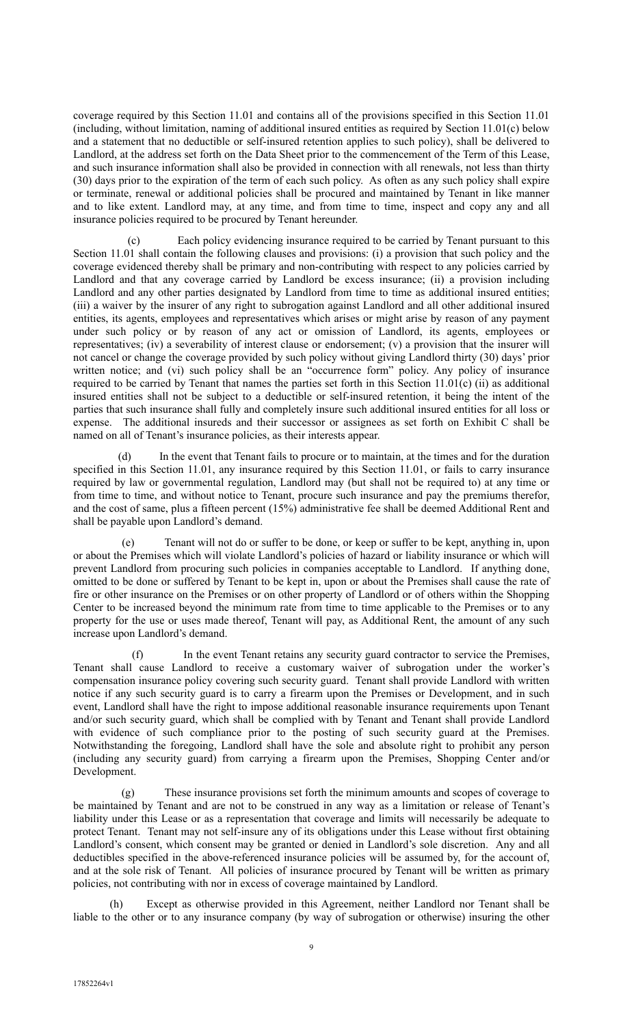coverage required by this Section 11.01 and contains all of the provisions specified in this Section 11.01 (including, without limitation, naming of additional insured entities as required by Section 11.01(c) below and a statement that no deductible or self-insured retention applies to such policy), shall be delivered to Landlord, at the address set forth on the Data Sheet prior to the commencement of the Term of this Lease, and such insurance information shall also be provided in connection with all renewals, not less than thirty (30) days prior to the expiration of the term of each such policy. As often as any such policy shall expire or terminate, renewal or additional policies shall be procured and maintained by Tenant in like manner and to like extent. Landlord may, at any time, and from time to time, inspect and copy any and all insurance policies required to be procured by Tenant hereunder.

 (c) Each policy evidencing insurance required to be carried by Tenant pursuant to this Section 11.01 shall contain the following clauses and provisions: (i) a provision that such policy and the coverage evidenced thereby shall be primary and non-contributing with respect to any policies carried by Landlord and that any coverage carried by Landlord be excess insurance; (ii) a provision including Landlord and any other parties designated by Landlord from time to time as additional insured entities; (iii) a waiver by the insurer of any right to subrogation against Landlord and all other additional insured entities, its agents, employees and representatives which arises or might arise by reason of any payment under such policy or by reason of any act or omission of Landlord, its agents, employees or representatives; (iv) a severability of interest clause or endorsement; (v) a provision that the insurer will not cancel or change the coverage provided by such policy without giving Landlord thirty (30) days' prior written notice; and (vi) such policy shall be an "occurrence form" policy. Any policy of insurance required to be carried by Tenant that names the parties set forth in this Section 11.01(c) (ii) as additional insured entities shall not be subject to a deductible or self-insured retention, it being the intent of the parties that such insurance shall fully and completely insure such additional insured entities for all loss or expense. The additional insureds and their successor or assignees as set forth on Exhibit C shall be named on all of Tenant's insurance policies, as their interests appear.

 (d) In the event that Tenant fails to procure or to maintain, at the times and for the duration specified in this Section 11.01, any insurance required by this Section 11.01, or fails to carry insurance required by law or governmental regulation, Landlord may (but shall not be required to) at any time or from time to time, and without notice to Tenant, procure such insurance and pay the premiums therefor, and the cost of same, plus a fifteen percent (15%) administrative fee shall be deemed Additional Rent and shall be payable upon Landlord's demand.

Tenant will not do or suffer to be done, or keep or suffer to be kept, anything in, upon or about the Premises which will violate Landlord's policies of hazard or liability insurance or which will prevent Landlord from procuring such policies in companies acceptable to Landlord. If anything done, omitted to be done or suffered by Tenant to be kept in, upon or about the Premises shall cause the rate of fire or other insurance on the Premises or on other property of Landlord or of others within the Shopping Center to be increased beyond the minimum rate from time to time applicable to the Premises or to any property for the use or uses made thereof, Tenant will pay, as Additional Rent, the amount of any such increase upon Landlord's demand.

In the event Tenant retains any security guard contractor to service the Premises, Tenant shall cause Landlord to receive a customary waiver of subrogation under the worker's compensation insurance policy covering such security guard. Tenant shall provide Landlord with written notice if any such security guard is to carry a firearm upon the Premises or Development, and in such event, Landlord shall have the right to impose additional reasonable insurance requirements upon Tenant and/or such security guard, which shall be complied with by Tenant and Tenant shall provide Landlord with evidence of such compliance prior to the posting of such security guard at the Premises. Notwithstanding the foregoing, Landlord shall have the sole and absolute right to prohibit any person (including any security guard) from carrying a firearm upon the Premises, Shopping Center and/or Development.

 (g) These insurance provisions set forth the minimum amounts and scopes of coverage to be maintained by Tenant and are not to be construed in any way as a limitation or release of Tenant's liability under this Lease or as a representation that coverage and limits will necessarily be adequate to protect Tenant. Tenant may not self-insure any of its obligations under this Lease without first obtaining Landlord's consent, which consent may be granted or denied in Landlord's sole discretion. Any and all deductibles specified in the above-referenced insurance policies will be assumed by, for the account of, and at the sole risk of Tenant. All policies of insurance procured by Tenant will be written as primary policies, not contributing with nor in excess of coverage maintained by Landlord.

(h) Except as otherwise provided in this Agreement, neither Landlord nor Tenant shall be liable to the other or to any insurance company (by way of subrogation or otherwise) insuring the other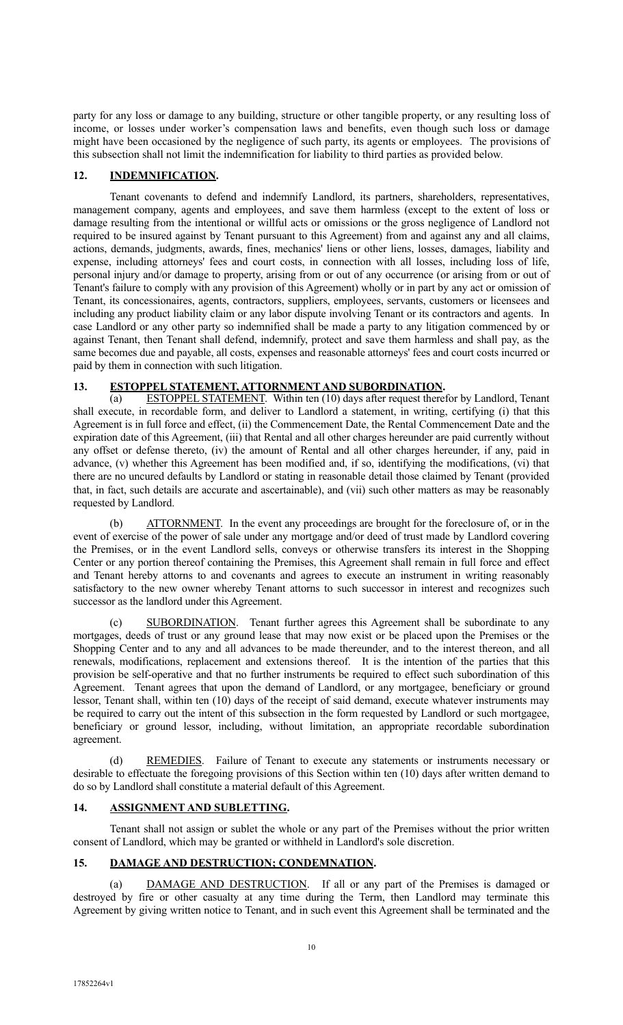party for any loss or damage to any building, structure or other tangible property, or any resulting loss of income, or losses under worker's compensation laws and benefits, even though such loss or damage might have been occasioned by the negligence of such party, its agents or employees. The provisions of this subsection shall not limit the indemnification for liability to third parties as provided below.

### **12. INDEMNIFICATION.**

 Tenant covenants to defend and indemnify Landlord, its partners, shareholders, representatives, management company, agents and employees, and save them harmless (except to the extent of loss or damage resulting from the intentional or willful acts or omissions or the gross negligence of Landlord not required to be insured against by Tenant pursuant to this Agreement) from and against any and all claims, actions, demands, judgments, awards, fines, mechanics' liens or other liens, losses, damages, liability and expense, including attorneys' fees and court costs, in connection with all losses, including loss of life, personal injury and/or damage to property, arising from or out of any occurrence (or arising from or out of Tenant's failure to comply with any provision of this Agreement) wholly or in part by any act or omission of Tenant, its concessionaires, agents, contractors, suppliers, employees, servants, customers or licensees and including any product liability claim or any labor dispute involving Tenant or its contractors and agents. In case Landlord or any other party so indemnified shall be made a party to any litigation commenced by or against Tenant, then Tenant shall defend, indemnify, protect and save them harmless and shall pay, as the same becomes due and payable, all costs, expenses and reasonable attorneys' fees and court costs incurred or paid by them in connection with such litigation.

# **13. ESTOPPEL STATEMENT, ATTORNMENT AND SUBORDINATION.**

 (a) ESTOPPEL STATEMENT. Within ten (10) days after request therefor by Landlord, Tenant shall execute, in recordable form, and deliver to Landlord a statement, in writing, certifying (i) that this Agreement is in full force and effect, (ii) the Commencement Date, the Rental Commencement Date and the expiration date of this Agreement, (iii) that Rental and all other charges hereunder are paid currently without any offset or defense thereto, (iv) the amount of Rental and all other charges hereunder, if any, paid in advance, (v) whether this Agreement has been modified and, if so, identifying the modifications, (vi) that there are no uncured defaults by Landlord or stating in reasonable detail those claimed by Tenant (provided that, in fact, such details are accurate and ascertainable), and (vii) such other matters as may be reasonably requested by Landlord.

 (b) ATTORNMENT. In the event any proceedings are brought for the foreclosure of, or in the event of exercise of the power of sale under any mortgage and/or deed of trust made by Landlord covering the Premises, or in the event Landlord sells, conveys or otherwise transfers its interest in the Shopping Center or any portion thereof containing the Premises, this Agreement shall remain in full force and effect and Tenant hereby attorns to and covenants and agrees to execute an instrument in writing reasonably satisfactory to the new owner whereby Tenant attorns to such successor in interest and recognizes such successor as the landlord under this Agreement.

SUBORDINATION. Tenant further agrees this Agreement shall be subordinate to any mortgages, deeds of trust or any ground lease that may now exist or be placed upon the Premises or the Shopping Center and to any and all advances to be made thereunder, and to the interest thereon, and all renewals, modifications, replacement and extensions thereof. It is the intention of the parties that this provision be self-operative and that no further instruments be required to effect such subordination of this Agreement. Tenant agrees that upon the demand of Landlord, or any mortgagee, beneficiary or ground lessor, Tenant shall, within ten (10) days of the receipt of said demand, execute whatever instruments may be required to carry out the intent of this subsection in the form requested by Landlord or such mortgagee, beneficiary or ground lessor, including, without limitation, an appropriate recordable subordination agreement.

REMEDIES. Failure of Tenant to execute any statements or instruments necessary or desirable to effectuate the foregoing provisions of this Section within ten (10) days after written demand to do so by Landlord shall constitute a material default of this Agreement.

# **14. ASSIGNMENT AND SUBLETTING.**

Tenant shall not assign or sublet the whole or any part of the Premises without the prior written consent of Landlord, which may be granted or withheld in Landlord's sole discretion.

# **15. DAMAGE AND DESTRUCTION; CONDEMNATION.**

 (a) DAMAGE AND DESTRUCTION. If all or any part of the Premises is damaged or destroyed by fire or other casualty at any time during the Term, then Landlord may terminate this Agreement by giving written notice to Tenant, and in such event this Agreement shall be terminated and the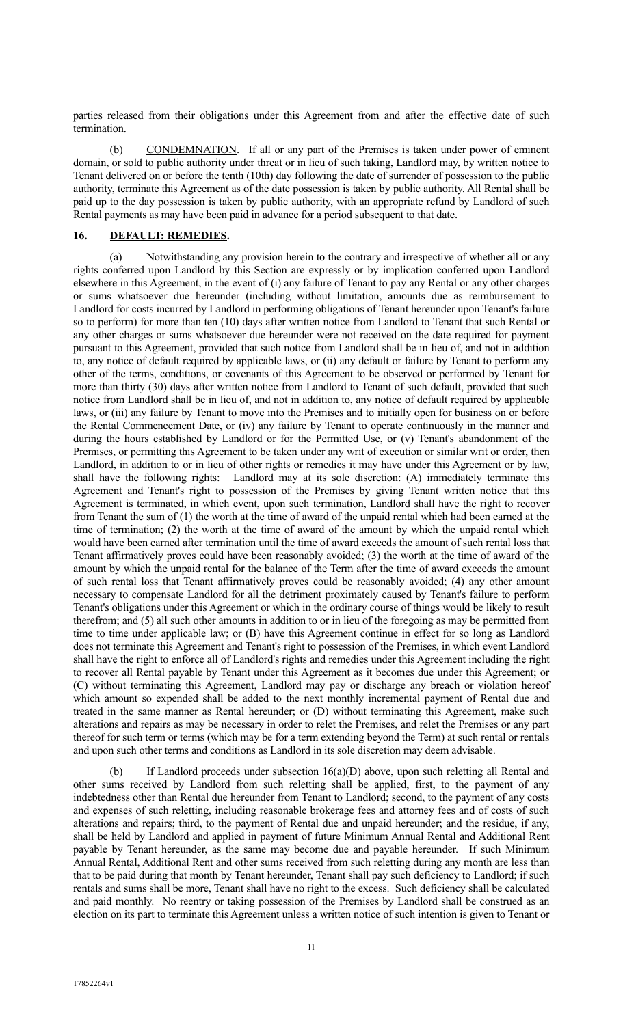parties released from their obligations under this Agreement from and after the effective date of such termination.

 (b) CONDEMNATION. If all or any part of the Premises is taken under power of eminent domain, or sold to public authority under threat or in lieu of such taking, Landlord may, by written notice to Tenant delivered on or before the tenth (10th) day following the date of surrender of possession to the public authority, terminate this Agreement as of the date possession is taken by public authority. All Rental shall be paid up to the day possession is taken by public authority, with an appropriate refund by Landlord of such Rental payments as may have been paid in advance for a period subsequent to that date.

### **16. DEFAULT; REMEDIES.**

(a) Notwithstanding any provision herein to the contrary and irrespective of whether all or any rights conferred upon Landlord by this Section are expressly or by implication conferred upon Landlord elsewhere in this Agreement, in the event of (i) any failure of Tenant to pay any Rental or any other charges or sums whatsoever due hereunder (including without limitation, amounts due as reimbursement to Landlord for costs incurred by Landlord in performing obligations of Tenant hereunder upon Tenant's failure so to perform) for more than ten (10) days after written notice from Landlord to Tenant that such Rental or any other charges or sums whatsoever due hereunder were not received on the date required for payment pursuant to this Agreement, provided that such notice from Landlord shall be in lieu of, and not in addition to, any notice of default required by applicable laws, or (ii) any default or failure by Tenant to perform any other of the terms, conditions, or covenants of this Agreement to be observed or performed by Tenant for more than thirty (30) days after written notice from Landlord to Tenant of such default, provided that such notice from Landlord shall be in lieu of, and not in addition to, any notice of default required by applicable laws, or (iii) any failure by Tenant to move into the Premises and to initially open for business on or before the Rental Commencement Date, or (iv) any failure by Tenant to operate continuously in the manner and during the hours established by Landlord or for the Permitted Use, or (v) Tenant's abandonment of the Premises, or permitting this Agreement to be taken under any writ of execution or similar writ or order, then Landlord, in addition to or in lieu of other rights or remedies it may have under this Agreement or by law, shall have the following rights: Landlord may at its sole discretion: (A) immediately terminate this Agreement and Tenant's right to possession of the Premises by giving Tenant written notice that this Agreement is terminated, in which event, upon such termination, Landlord shall have the right to recover from Tenant the sum of (1) the worth at the time of award of the unpaid rental which had been earned at the time of termination; (2) the worth at the time of award of the amount by which the unpaid rental which would have been earned after termination until the time of award exceeds the amount of such rental loss that Tenant affirmatively proves could have been reasonably avoided; (3) the worth at the time of award of the amount by which the unpaid rental for the balance of the Term after the time of award exceeds the amount of such rental loss that Tenant affirmatively proves could be reasonably avoided; (4) any other amount necessary to compensate Landlord for all the detriment proximately caused by Tenant's failure to perform Tenant's obligations under this Agreement or which in the ordinary course of things would be likely to result therefrom; and (5) all such other amounts in addition to or in lieu of the foregoing as may be permitted from time to time under applicable law; or (B) have this Agreement continue in effect for so long as Landlord does not terminate this Agreement and Tenant's right to possession of the Premises, in which event Landlord shall have the right to enforce all of Landlord's rights and remedies under this Agreement including the right to recover all Rental payable by Tenant under this Agreement as it becomes due under this Agreement; or (C) without terminating this Agreement, Landlord may pay or discharge any breach or violation hereof which amount so expended shall be added to the next monthly incremental payment of Rental due and treated in the same manner as Rental hereunder; or (D) without terminating this Agreement, make such alterations and repairs as may be necessary in order to relet the Premises, and relet the Premises or any part thereof for such term or terms (which may be for a term extending beyond the Term) at such rental or rentals and upon such other terms and conditions as Landlord in its sole discretion may deem advisable.

If Landlord proceeds under subsection  $16(a)(D)$  above, upon such reletting all Rental and other sums received by Landlord from such reletting shall be applied, first, to the payment of any indebtedness other than Rental due hereunder from Tenant to Landlord; second, to the payment of any costs and expenses of such reletting, including reasonable brokerage fees and attorney fees and of costs of such alterations and repairs; third, to the payment of Rental due and unpaid hereunder; and the residue, if any, shall be held by Landlord and applied in payment of future Minimum Annual Rental and Additional Rent payable by Tenant hereunder, as the same may become due and payable hereunder. If such Minimum Annual Rental, Additional Rent and other sums received from such reletting during any month are less than that to be paid during that month by Tenant hereunder, Tenant shall pay such deficiency to Landlord; if such rentals and sums shall be more, Tenant shall have no right to the excess. Such deficiency shall be calculated and paid monthly. No reentry or taking possession of the Premises by Landlord shall be construed as an election on its part to terminate this Agreement unless a written notice of such intention is given to Tenant or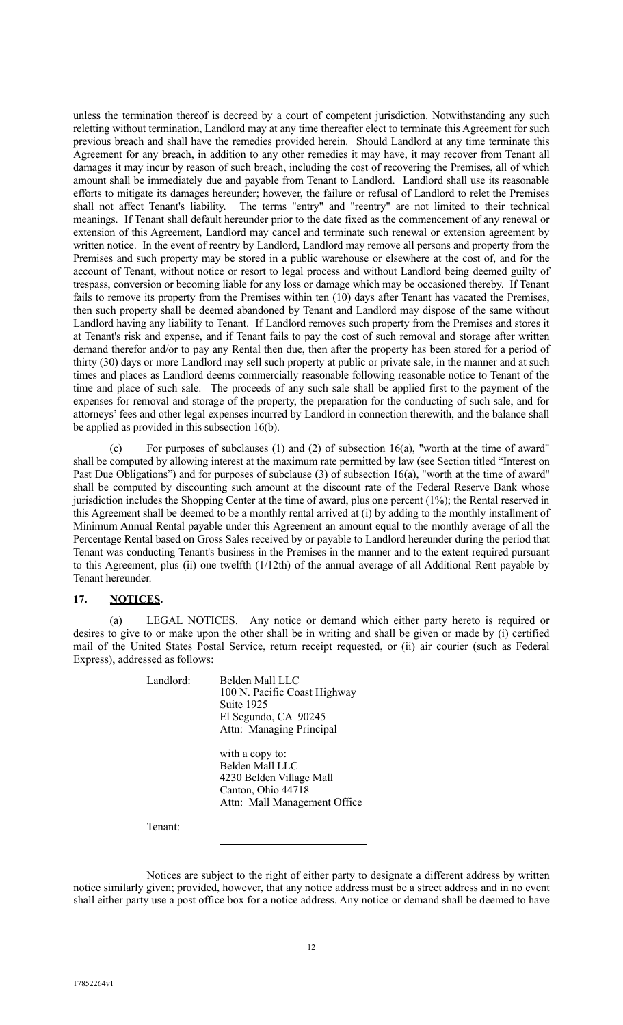unless the termination thereof is decreed by a court of competent jurisdiction. Notwithstanding any such reletting without termination, Landlord may at any time thereafter elect to terminate this Agreement for such previous breach and shall have the remedies provided herein. Should Landlord at any time terminate this Agreement for any breach, in addition to any other remedies it may have, it may recover from Tenant all damages it may incur by reason of such breach, including the cost of recovering the Premises, all of which amount shall be immediately due and payable from Tenant to Landlord. Landlord shall use its reasonable efforts to mitigate its damages hereunder; however, the failure or refusal of Landlord to relet the Premises shall not affect Tenant's liability. The terms "entry" and "reentry" are not limited to their technical meanings. If Tenant shall default hereunder prior to the date fixed as the commencement of any renewal or extension of this Agreement, Landlord may cancel and terminate such renewal or extension agreement by written notice. In the event of reentry by Landlord, Landlord may remove all persons and property from the Premises and such property may be stored in a public warehouse or elsewhere at the cost of, and for the account of Tenant, without notice or resort to legal process and without Landlord being deemed guilty of trespass, conversion or becoming liable for any loss or damage which may be occasioned thereby. If Tenant fails to remove its property from the Premises within ten (10) days after Tenant has vacated the Premises, then such property shall be deemed abandoned by Tenant and Landlord may dispose of the same without Landlord having any liability to Tenant. If Landlord removes such property from the Premises and stores it at Tenant's risk and expense, and if Tenant fails to pay the cost of such removal and storage after written demand therefor and/or to pay any Rental then due, then after the property has been stored for a period of thirty (30) days or more Landlord may sell such property at public or private sale, in the manner and at such times and places as Landlord deems commercially reasonable following reasonable notice to Tenant of the time and place of such sale. The proceeds of any such sale shall be applied first to the payment of the expenses for removal and storage of the property, the preparation for the conducting of such sale, and for attorneys' fees and other legal expenses incurred by Landlord in connection therewith, and the balance shall be applied as provided in this subsection 16(b).

For purposes of subclauses (1) and (2) of subsection 16(a), "worth at the time of award" shall be computed by allowing interest at the maximum rate permitted by law (see Section titled "Interest on Past Due Obligations") and for purposes of subclause (3) of subsection 16(a), "worth at the time of award" shall be computed by discounting such amount at the discount rate of the Federal Reserve Bank whose jurisdiction includes the Shopping Center at the time of award, plus one percent (1%); the Rental reserved in this Agreement shall be deemed to be a monthly rental arrived at (i) by adding to the monthly installment of Minimum Annual Rental payable under this Agreement an amount equal to the monthly average of all the Percentage Rental based on Gross Sales received by or payable to Landlord hereunder during the period that Tenant was conducting Tenant's business in the Premises in the manner and to the extent required pursuant to this Agreement, plus (ii) one twelfth (1/12th) of the annual average of all Additional Rent payable by Tenant hereunder.

### **17. NOTICES.**

 (a) LEGAL NOTICES. Any notice or demand which either party hereto is required or desires to give to or make upon the other shall be in writing and shall be given or made by (i) certified mail of the United States Postal Service, return receipt requested, or (ii) air courier (such as Federal Express), addressed as follows:

Landlord: Belden Mall LLC 100 N. Pacific Coast Highway Suite 1925 El Segundo, CA 90245 Attn: Managing Principal

> with a copy to: Belden Mall LLC 4230 Belden Village Mall Canton, Ohio 44718 Attn: Mall Management Office

Tenant:

Notices are subject to the right of either party to designate a different address by written notice similarly given; provided, however, that any notice address must be a street address and in no event shall either party use a post office box for a notice address. Any notice or demand shall be deemed to have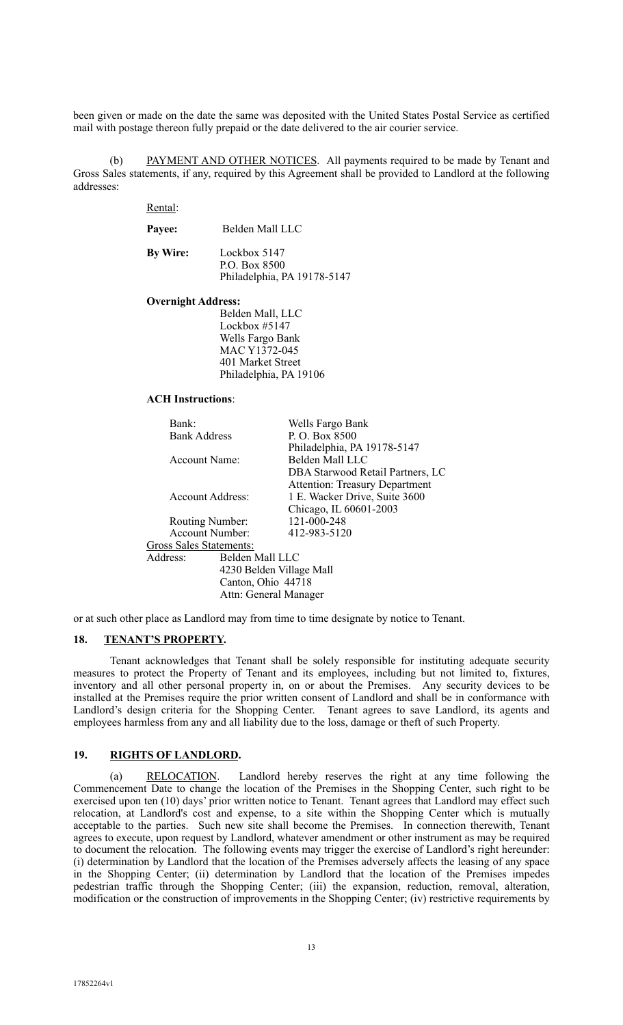been given or made on the date the same was deposited with the United States Postal Service as certified mail with postage thereon fully prepaid or the date delivered to the air courier service.

PAYMENT AND OTHER NOTICES. All payments required to be made by Tenant and Gross Sales statements, if any, required by this Agreement shall be provided to Landlord at the following addresses:

| Rental:  |                                                              |
|----------|--------------------------------------------------------------|
| Payee:   | Belden Mall LLC                                              |
| By Wire: | Lockbox 5147<br>P.O. Box 8500<br>Philadelphia, PA 19178-5147 |

**Overnight Address:**

Belden Mall, LLC Lockbox #5147 Wells Fargo Bank MAC Y1372-045 401 Market Street Philadelphia, PA 19106

### **ACH Instructions**:

| Bank:                          | Wells Fargo Bank                      |  |  |  |
|--------------------------------|---------------------------------------|--|--|--|
| <b>Bank Address</b>            | P. O. Box 8500                        |  |  |  |
|                                | Philadelphia, PA 19178-5147           |  |  |  |
| Account Name:                  | Belden Mall LLC                       |  |  |  |
|                                | DBA Starwood Retail Partners, LC      |  |  |  |
|                                | <b>Attention: Treasury Department</b> |  |  |  |
| <b>Account Address:</b>        | 1 E. Wacker Drive, Suite 3600         |  |  |  |
|                                | Chicago, IL 60601-2003                |  |  |  |
| Routing Number:                | 121-000-248                           |  |  |  |
| Account Number:                | 412-983-5120                          |  |  |  |
| <b>Gross Sales Statements:</b> |                                       |  |  |  |
| Belden Mall LLC<br>Address:    |                                       |  |  |  |
| 4230 Belden Village Mall       |                                       |  |  |  |
| Canton, Ohio 44718             |                                       |  |  |  |
| Attn: General Manager          |                                       |  |  |  |

or at such other place as Landlord may from time to time designate by notice to Tenant.

### **18. TENANT'S PROPERTY.**

 Tenant acknowledges that Tenant shall be solely responsible for instituting adequate security measures to protect the Property of Tenant and its employees, including but not limited to, fixtures, inventory and all other personal property in, on or about the Premises. Any security devices to be installed at the Premises require the prior written consent of Landlord and shall be in conformance with Landlord's design criteria for the Shopping Center. Tenant agrees to save Landlord, its agents and employees harmless from any and all liability due to the loss, damage or theft of such Property.

### **19. RIGHTS OF LANDLORD.**

(a) RELOCATION. Landlord hereby reserves the right at any time following the Commencement Date to change the location of the Premises in the Shopping Center, such right to be exercised upon ten (10) days' prior written notice to Tenant. Tenant agrees that Landlord may effect such relocation, at Landlord's cost and expense, to a site within the Shopping Center which is mutually acceptable to the parties. Such new site shall become the Premises. In connection therewith, Tenant agrees to execute, upon request by Landlord, whatever amendment or other instrument as may be required to document the relocation. The following events may trigger the exercise of Landlord's right hereunder: (i) determination by Landlord that the location of the Premises adversely affects the leasing of any space in the Shopping Center; (ii) determination by Landlord that the location of the Premises impedes pedestrian traffic through the Shopping Center; (iii) the expansion, reduction, removal, alteration, modification or the construction of improvements in the Shopping Center; (iv) restrictive requirements by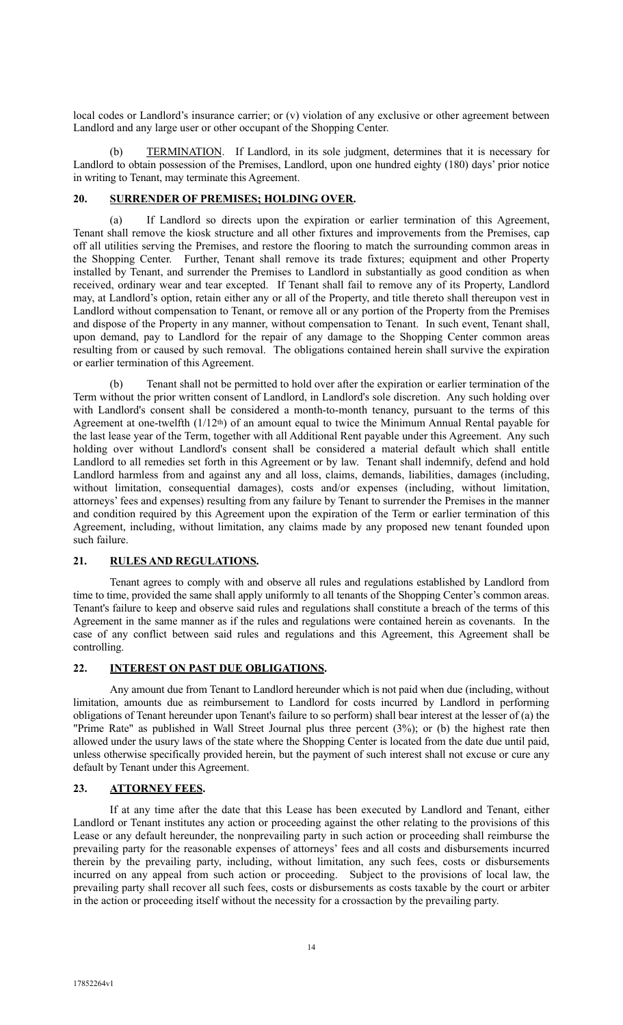local codes or Landlord's insurance carrier; or (v) violation of any exclusive or other agreement between Landlord and any large user or other occupant of the Shopping Center.

(b) TERMINATION. If Landlord, in its sole judgment, determines that it is necessary for Landlord to obtain possession of the Premises, Landlord, upon one hundred eighty (180) days' prior notice in writing to Tenant, may terminate this Agreement.

### **20. SURRENDER OF PREMISES; HOLDING OVER.**

 (a) If Landlord so directs upon the expiration or earlier termination of this Agreement, Tenant shall remove the kiosk structure and all other fixtures and improvements from the Premises, cap off all utilities serving the Premises, and restore the flooring to match the surrounding common areas in the Shopping Center. Further, Tenant shall remove its trade fixtures; equipment and other Property installed by Tenant, and surrender the Premises to Landlord in substantially as good condition as when received, ordinary wear and tear excepted. If Tenant shall fail to remove any of its Property, Landlord may, at Landlord's option, retain either any or all of the Property, and title thereto shall thereupon vest in Landlord without compensation to Tenant, or remove all or any portion of the Property from the Premises and dispose of the Property in any manner, without compensation to Tenant. In such event, Tenant shall, upon demand, pay to Landlord for the repair of any damage to the Shopping Center common areas resulting from or caused by such removal. The obligations contained herein shall survive the expiration or earlier termination of this Agreement.

 (b) Tenant shall not be permitted to hold over after the expiration or earlier termination of the Term without the prior written consent of Landlord, in Landlord's sole discretion. Any such holding over with Landlord's consent shall be considered a month-to-month tenancy, pursuant to the terms of this Agreement at one-twelfth (1/12th) of an amount equal to twice the Minimum Annual Rental payable for the last lease year of the Term, together with all Additional Rent payable under this Agreement. Any such holding over without Landlord's consent shall be considered a material default which shall entitle Landlord to all remedies set forth in this Agreement or by law. Tenant shall indemnify, defend and hold Landlord harmless from and against any and all loss, claims, demands, liabilities, damages (including, without limitation, consequential damages), costs and/or expenses (including, without limitation, attorneys' fees and expenses) resulting from any failure by Tenant to surrender the Premises in the manner and condition required by this Agreement upon the expiration of the Term or earlier termination of this Agreement, including, without limitation, any claims made by any proposed new tenant founded upon such failure.

### **21. RULES AND REGULATIONS.**

 Tenant agrees to comply with and observe all rules and regulations established by Landlord from time to time, provided the same shall apply uniformly to all tenants of the Shopping Center's common areas. Tenant's failure to keep and observe said rules and regulations shall constitute a breach of the terms of this Agreement in the same manner as if the rules and regulations were contained herein as covenants. In the case of any conflict between said rules and regulations and this Agreement, this Agreement shall be controlling.

### **22. INTEREST ON PAST DUE OBLIGATIONS.**

 Any amount due from Tenant to Landlord hereunder which is not paid when due (including, without limitation, amounts due as reimbursement to Landlord for costs incurred by Landlord in performing obligations of Tenant hereunder upon Tenant's failure to so perform) shall bear interest at the lesser of (a) the "Prime Rate" as published in Wall Street Journal plus three percent (3%); or (b) the highest rate then allowed under the usury laws of the state where the Shopping Center is located from the date due until paid, unless otherwise specifically provided herein, but the payment of such interest shall not excuse or cure any default by Tenant under this Agreement.

# **23. ATTORNEY FEES.**

 If at any time after the date that this Lease has been executed by Landlord and Tenant, either Landlord or Tenant institutes any action or proceeding against the other relating to the provisions of this Lease or any default hereunder, the nonprevailing party in such action or proceeding shall reimburse the prevailing party for the reasonable expenses of attorneys' fees and all costs and disbursements incurred therein by the prevailing party, including, without limitation, any such fees, costs or disbursements incurred on any appeal from such action or proceeding. Subject to the provisions of local law, the prevailing party shall recover all such fees, costs or disbursements as costs taxable by the court or arbiter in the action or proceeding itself without the necessity for a crossaction by the prevailing party.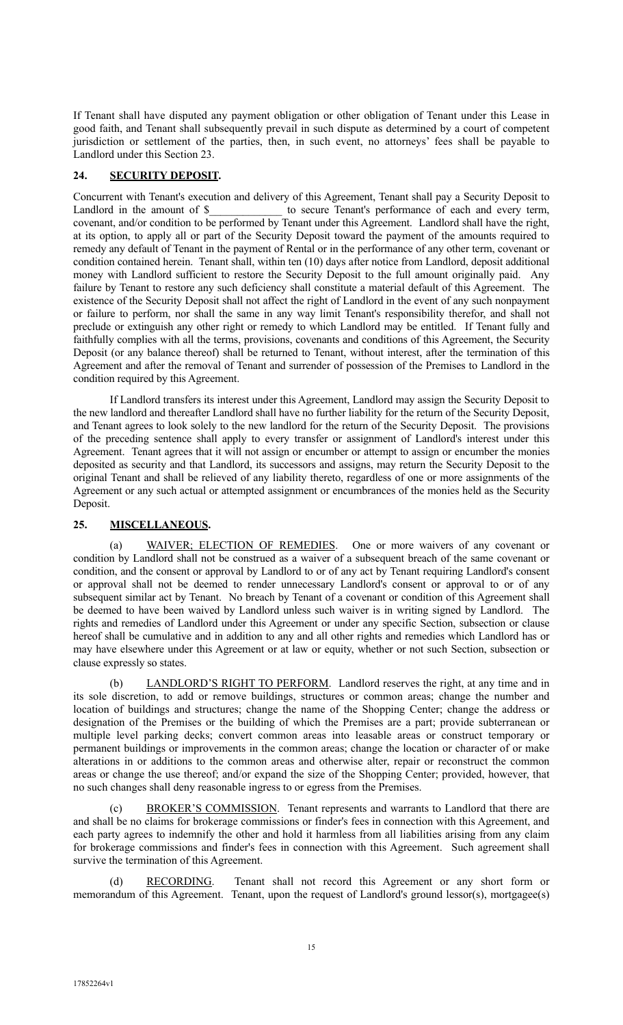If Tenant shall have disputed any payment obligation or other obligation of Tenant under this Lease in good faith, and Tenant shall subsequently prevail in such dispute as determined by a court of competent jurisdiction or settlement of the parties, then, in such event, no attorneys' fees shall be payable to Landlord under this Section 23.

### **24. SECURITY DEPOSIT.**

Concurrent with Tenant's execution and delivery of this Agreement, Tenant shall pay a Security Deposit to Landlord in the amount of \$\_\_\_\_\_\_\_\_\_\_\_\_\_\_ to secure Tenant's performance of each and every term, covenant, and/or condition to be performed by Tenant under this Agreement. Landlord shall have the right, at its option, to apply all or part of the Security Deposit toward the payment of the amounts required to remedy any default of Tenant in the payment of Rental or in the performance of any other term, covenant or condition contained herein. Tenant shall, within ten (10) days after notice from Landlord, deposit additional money with Landlord sufficient to restore the Security Deposit to the full amount originally paid. Any failure by Tenant to restore any such deficiency shall constitute a material default of this Agreement. The existence of the Security Deposit shall not affect the right of Landlord in the event of any such nonpayment or failure to perform, nor shall the same in any way limit Tenant's responsibility therefor, and shall not preclude or extinguish any other right or remedy to which Landlord may be entitled. If Tenant fully and faithfully complies with all the terms, provisions, covenants and conditions of this Agreement, the Security Deposit (or any balance thereof) shall be returned to Tenant, without interest, after the termination of this Agreement and after the removal of Tenant and surrender of possession of the Premises to Landlord in the condition required by this Agreement.

 If Landlord transfers its interest under this Agreement, Landlord may assign the Security Deposit to the new landlord and thereafter Landlord shall have no further liability for the return of the Security Deposit, and Tenant agrees to look solely to the new landlord for the return of the Security Deposit. The provisions of the preceding sentence shall apply to every transfer or assignment of Landlord's interest under this Agreement. Tenant agrees that it will not assign or encumber or attempt to assign or encumber the monies deposited as security and that Landlord, its successors and assigns, may return the Security Deposit to the original Tenant and shall be relieved of any liability thereto, regardless of one or more assignments of the Agreement or any such actual or attempted assignment or encumbrances of the monies held as the Security Deposit.

# **25. MISCELLANEOUS.**

 (a) WAIVER; ELECTION OF REMEDIES. One or more waivers of any covenant or condition by Landlord shall not be construed as a waiver of a subsequent breach of the same covenant or condition, and the consent or approval by Landlord to or of any act by Tenant requiring Landlord's consent or approval shall not be deemed to render unnecessary Landlord's consent or approval to or of any subsequent similar act by Tenant. No breach by Tenant of a covenant or condition of this Agreement shall be deemed to have been waived by Landlord unless such waiver is in writing signed by Landlord. The rights and remedies of Landlord under this Agreement or under any specific Section, subsection or clause hereof shall be cumulative and in addition to any and all other rights and remedies which Landlord has or may have elsewhere under this Agreement or at law or equity, whether or not such Section, subsection or clause expressly so states.

LANDLORD'S RIGHT TO PERFORM. Landlord reserves the right, at any time and in its sole discretion, to add or remove buildings, structures or common areas; change the number and location of buildings and structures; change the name of the Shopping Center; change the address or designation of the Premises or the building of which the Premises are a part; provide subterranean or multiple level parking decks; convert common areas into leasable areas or construct temporary or permanent buildings or improvements in the common areas; change the location or character of or make alterations in or additions to the common areas and otherwise alter, repair or reconstruct the common areas or change the use thereof; and/or expand the size of the Shopping Center; provided, however, that no such changes shall deny reasonable ingress to or egress from the Premises.

 (c) BROKER'S COMMISSION. Tenant represents and warrants to Landlord that there are and shall be no claims for brokerage commissions or finder's fees in connection with this Agreement, and each party agrees to indemnify the other and hold it harmless from all liabilities arising from any claim for brokerage commissions and finder's fees in connection with this Agreement. Such agreement shall survive the termination of this Agreement.

 (d) RECORDING. Tenant shall not record this Agreement or any short form or memorandum of this Agreement. Tenant, upon the request of Landlord's ground lessor(s), mortgagee(s)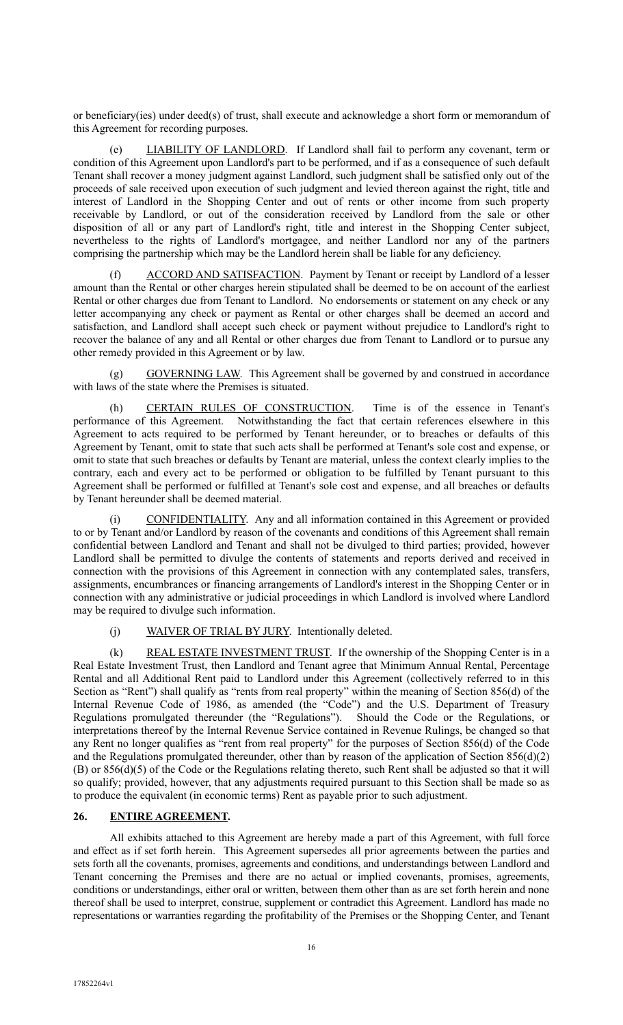or beneficiary(ies) under deed(s) of trust, shall execute and acknowledge a short form or memorandum of this Agreement for recording purposes.

LIABILITY OF LANDLORD. If Landlord shall fail to perform any covenant, term or condition of this Agreement upon Landlord's part to be performed, and if as a consequence of such default Tenant shall recover a money judgment against Landlord, such judgment shall be satisfied only out of the proceeds of sale received upon execution of such judgment and levied thereon against the right, title and interest of Landlord in the Shopping Center and out of rents or other income from such property receivable by Landlord, or out of the consideration received by Landlord from the sale or other disposition of all or any part of Landlord's right, title and interest in the Shopping Center subject, nevertheless to the rights of Landlord's mortgagee, and neither Landlord nor any of the partners comprising the partnership which may be the Landlord herein shall be liable for any deficiency.

 (f) ACCORD AND SATISFACTION. Payment by Tenant or receipt by Landlord of a lesser amount than the Rental or other charges herein stipulated shall be deemed to be on account of the earliest Rental or other charges due from Tenant to Landlord. No endorsements or statement on any check or any letter accompanying any check or payment as Rental or other charges shall be deemed an accord and satisfaction, and Landlord shall accept such check or payment without prejudice to Landlord's right to recover the balance of any and all Rental or other charges due from Tenant to Landlord or to pursue any other remedy provided in this Agreement or by law.

 (g) GOVERNING LAW. This Agreement shall be governed by and construed in accordance with laws of the state where the Premises is situated.

 (h) CERTAIN RULES OF CONSTRUCTION. Time is of the essence in Tenant's performance of this Agreement. Notwithstanding the fact that certain references elsewhere in this Agreement to acts required to be performed by Tenant hereunder, or to breaches or defaults of this Agreement by Tenant, omit to state that such acts shall be performed at Tenant's sole cost and expense, or omit to state that such breaches or defaults by Tenant are material, unless the context clearly implies to the contrary, each and every act to be performed or obligation to be fulfilled by Tenant pursuant to this Agreement shall be performed or fulfilled at Tenant's sole cost and expense, and all breaches or defaults by Tenant hereunder shall be deemed material.

 (i) CONFIDENTIALITY. Any and all information contained in this Agreement or provided to or by Tenant and/or Landlord by reason of the covenants and conditions of this Agreement shall remain confidential between Landlord and Tenant and shall not be divulged to third parties; provided, however Landlord shall be permitted to divulge the contents of statements and reports derived and received in connection with the provisions of this Agreement in connection with any contemplated sales, transfers, assignments, encumbrances or financing arrangements of Landlord's interest in the Shopping Center or in connection with any administrative or judicial proceedings in which Landlord is involved where Landlord may be required to divulge such information.

# (j) WAIVER OF TRIAL BY JURY. Intentionally deleted.

REAL ESTATE INVESTMENT TRUST. If the ownership of the Shopping Center is in a Real Estate Investment Trust, then Landlord and Tenant agree that Minimum Annual Rental, Percentage Rental and all Additional Rent paid to Landlord under this Agreement (collectively referred to in this Section as "Rent") shall qualify as "rents from real property" within the meaning of Section 856(d) of the Internal Revenue Code of 1986, as amended (the "Code") and the U.S. Department of Treasury Regulations promulgated thereunder (the "Regulations"). Should the Code or the Regulations, or Regulations promulgated thereunder (the "Regulations"). interpretations thereof by the Internal Revenue Service contained in Revenue Rulings, be changed so that any Rent no longer qualifies as "rent from real property" for the purposes of Section 856(d) of the Code and the Regulations promulgated thereunder, other than by reason of the application of Section 856(d)(2) (B) or 856(d)(5) of the Code or the Regulations relating thereto, such Rent shall be adjusted so that it will so qualify; provided, however, that any adjustments required pursuant to this Section shall be made so as to produce the equivalent (in economic terms) Rent as payable prior to such adjustment.

# **26. ENTIRE AGREEMENT.**

All exhibits attached to this Agreement are hereby made a part of this Agreement, with full force and effect as if set forth herein. This Agreement supersedes all prior agreements between the parties and sets forth all the covenants, promises, agreements and conditions, and understandings between Landlord and Tenant concerning the Premises and there are no actual or implied covenants, promises, agreements, conditions or understandings, either oral or written, between them other than as are set forth herein and none thereof shall be used to interpret, construe, supplement or contradict this Agreement. Landlord has made no representations or warranties regarding the profitability of the Premises or the Shopping Center, and Tenant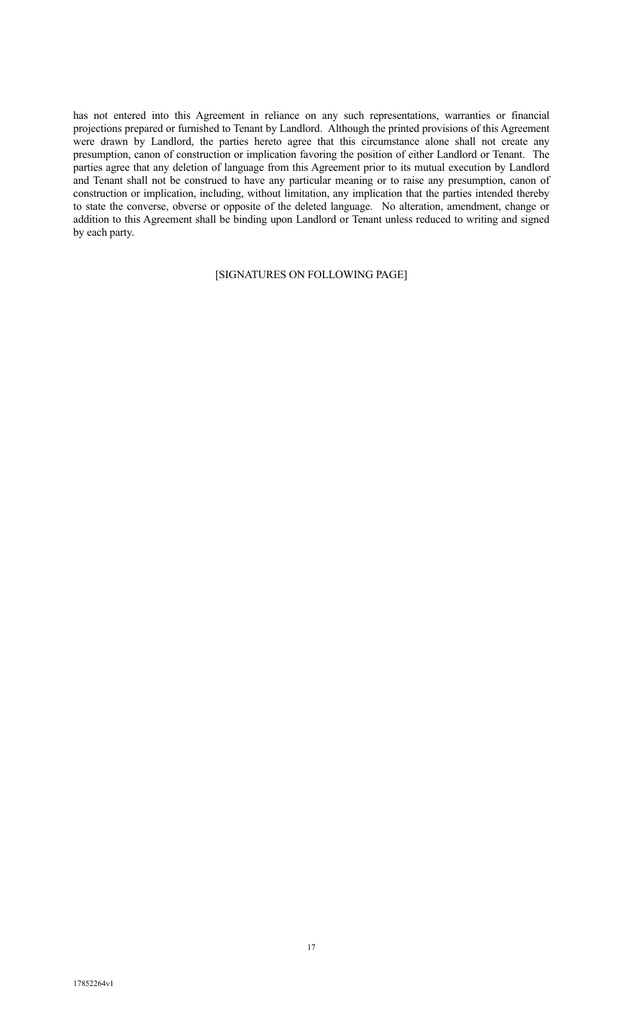has not entered into this Agreement in reliance on any such representations, warranties or financial projections prepared or furnished to Tenant by Landlord. Although the printed provisions of this Agreement were drawn by Landlord, the parties hereto agree that this circumstance alone shall not create any presumption, canon of construction or implication favoring the position of either Landlord or Tenant. The parties agree that any deletion of language from this Agreement prior to its mutual execution by Landlord and Tenant shall not be construed to have any particular meaning or to raise any presumption, canon of construction or implication, including, without limitation, any implication that the parties intended thereby to state the converse, obverse or opposite of the deleted language. No alteration, amendment, change or addition to this Agreement shall be binding upon Landlord or Tenant unless reduced to writing and signed by each party.

# [SIGNATURES ON FOLLOWING PAGE]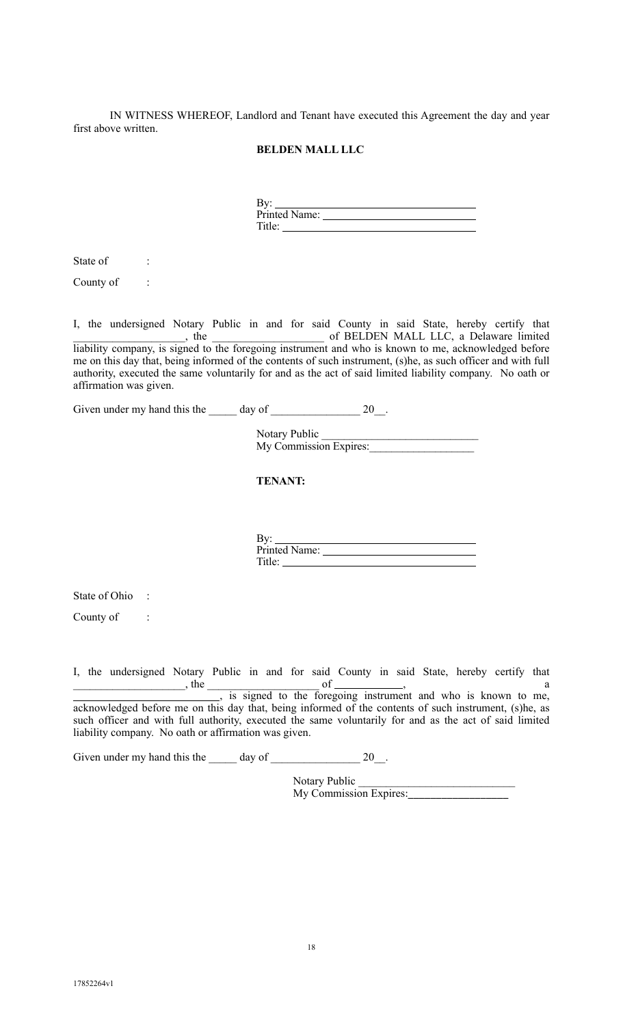IN WITNESS WHEREOF, Landlord and Tenant have executed this Agreement the day and year first above written.

### **BELDEN MALL LLC**

| Printed Name: |  |
|---------------|--|
| Title:        |  |

State of :

County of :

I, the undersigned Notary Public in and for said County in said State, hereby certify that \_\_\_\_\_\_\_\_\_\_\_\_\_\_\_\_\_\_\_\_, the \_\_\_\_\_\_\_\_\_\_\_\_\_\_\_\_\_\_\_\_ of BELDEN MALL LLC, a Delaware limited liability company, is signed to the foregoing instrument and who is known to me, acknowledged before me on this day that, being informed of the contents of such instrument, (s)he, as such officer and with full authority, executed the same voluntarily for and as the act of said limited liability company. No oath or affirmation was given.

Given under my hand this the  $\qquad \qquad$  day of  $\qquad \qquad$  20.

Notary Public My Commission Expires:

**TENANT:** 

| By:           |  |
|---------------|--|
| Printed Name: |  |
| Title:        |  |

State of Ohio :

County of :

I, the undersigned Notary Public in and for said County in said State, hereby certify that  $\alpha$ , the  $\alpha$  of  $\alpha$ 

**Example 2.1** is signed to the foregoing instrument and who is known to me, acknowledged before me on this day that, being informed of the contents of such instrument, (s)he, as such officer and with full authority, executed the same voluntarily for and as the act of said limited liability company. No oath or affirmation was given.

Given under my hand this the  $\_\_\_\_\$  day of  $\_\_\_\_\_\_\_\_\_\_$  20 $\_\_\_\_\_\_\$ .

Notary Public My Commission Expires: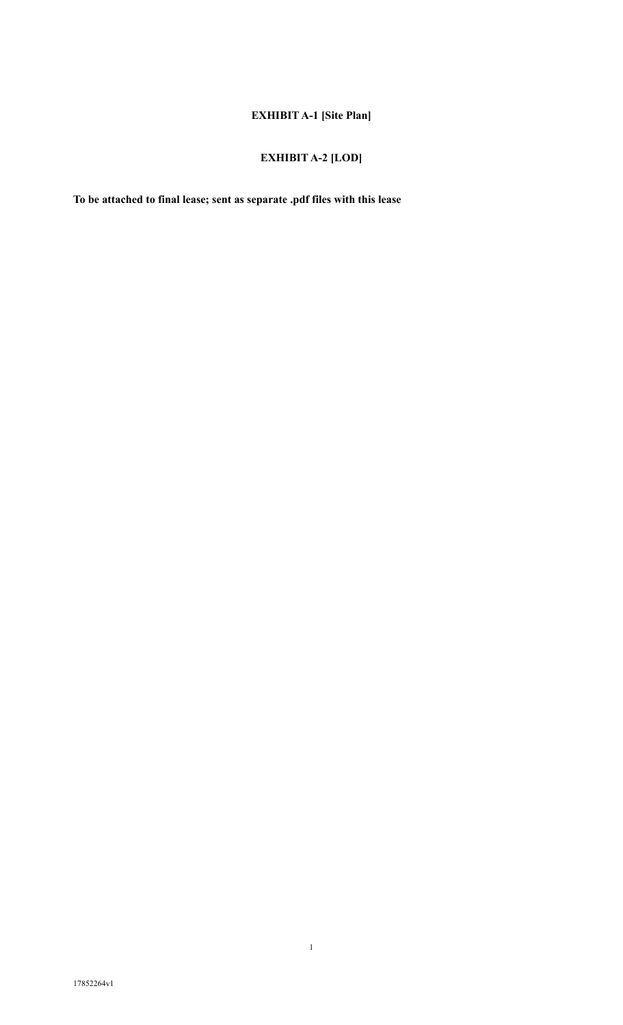# **EXHIBIT A-1 [Site Plan]**

# **EXHIBIT A-2 [LOD]**

1

**To be attached to final lease; sent as separate .pdf files with this lease**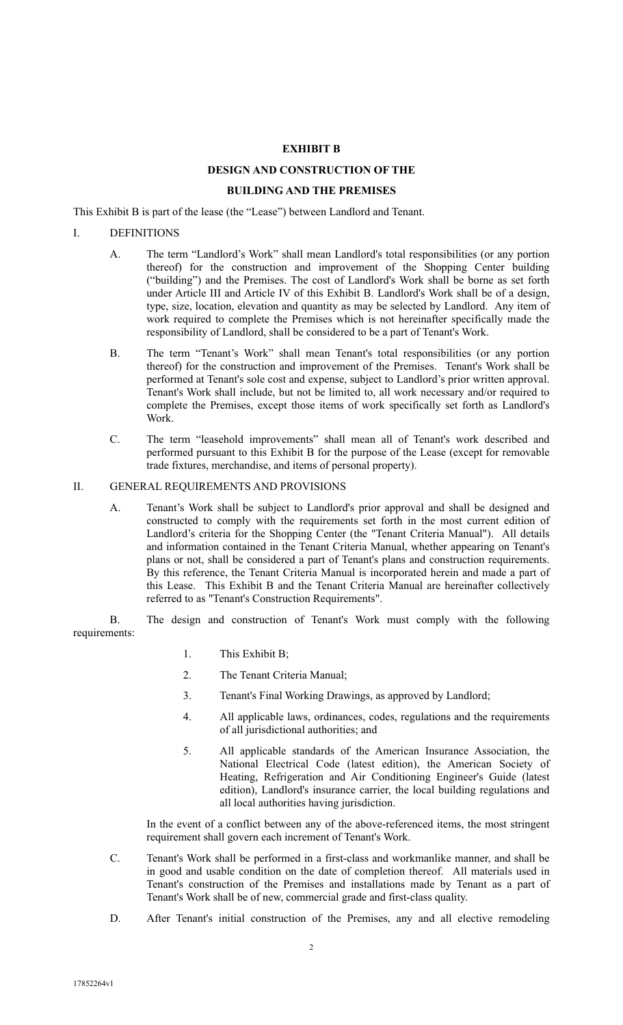### **EXHIBIT B**

### **DESIGN AND CONSTRUCTION OF THE**

#### **BUILDING AND THE PREMISES**

This Exhibit B is part of the lease (the "Lease") between Landlord and Tenant.

### I. DEFINITIONS

- A. The term "Landlord's Work" shall mean Landlord's total responsibilities (or any portion thereof) for the construction and improvement of the Shopping Center building ("building") and the Premises. The cost of Landlord's Work shall be borne as set forth under Article III and Article IV of this Exhibit B. Landlord's Work shall be of a design, type, size, location, elevation and quantity as may be selected by Landlord. Any item of work required to complete the Premises which is not hereinafter specifically made the responsibility of Landlord, shall be considered to be a part of Tenant's Work.
- B. The term "Tenant's Work" shall mean Tenant's total responsibilities (or any portion thereof) for the construction and improvement of the Premises. Tenant's Work shall be performed at Tenant's sole cost and expense, subject to Landlord's prior written approval. Tenant's Work shall include, but not be limited to, all work necessary and/or required to complete the Premises, except those items of work specifically set forth as Landlord's Work.
- C. The term "leasehold improvements" shall mean all of Tenant's work described and performed pursuant to this Exhibit B for the purpose of the Lease (except for removable trade fixtures, merchandise, and items of personal property).

### II. GENERAL REQUIREMENTS AND PROVISIONS

A. Tenant's Work shall be subject to Landlord's prior approval and shall be designed and constructed to comply with the requirements set forth in the most current edition of Landlord's criteria for the Shopping Center (the "Tenant Criteria Manual"). All details and information contained in the Tenant Criteria Manual, whether appearing on Tenant's plans or not, shall be considered a part of Tenant's plans and construction requirements. By this reference, the Tenant Criteria Manual is incorporated herein and made a part of this Lease. This Exhibit B and the Tenant Criteria Manual are hereinafter collectively referred to as "Tenant's Construction Requirements".

 B. The design and construction of Tenant's Work must comply with the following requirements:

- 1. This Exhibit B;
- 2. The Tenant Criteria Manual;
- 3. Tenant's Final Working Drawings, as approved by Landlord;
- 4. All applicable laws, ordinances, codes, regulations and the requirements of all jurisdictional authorities; and
- 5. All applicable standards of the American Insurance Association, the National Electrical Code (latest edition), the American Society of Heating, Refrigeration and Air Conditioning Engineer's Guide (latest edition), Landlord's insurance carrier, the local building regulations and all local authorities having jurisdiction.

In the event of a conflict between any of the above-referenced items, the most stringent requirement shall govern each increment of Tenant's Work.

- C. Tenant's Work shall be performed in a first-class and workmanlike manner, and shall be in good and usable condition on the date of completion thereof. All materials used in Tenant's construction of the Premises and installations made by Tenant as a part of Tenant's Work shall be of new, commercial grade and first-class quality.
- D. After Tenant's initial construction of the Premises, any and all elective remodeling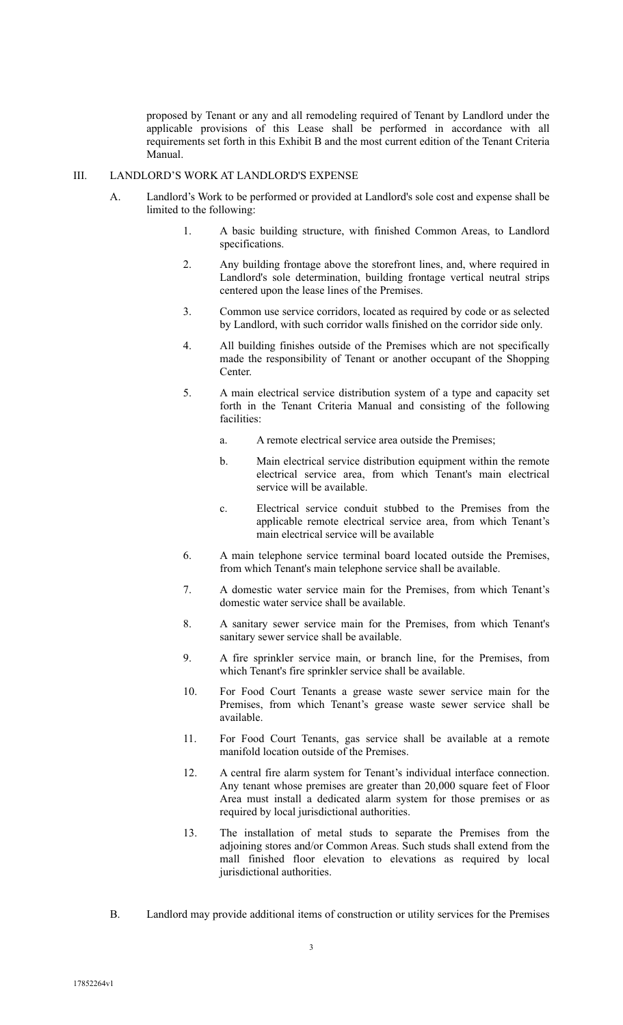proposed by Tenant or any and all remodeling required of Tenant by Landlord under the applicable provisions of this Lease shall be performed in accordance with all requirements set forth in this Exhibit B and the most current edition of the Tenant Criteria Manual.

### III. LANDLORD'S WORK AT LANDLORD'S EXPENSE

- A. Landlord's Work to be performed or provided at Landlord's sole cost and expense shall be limited to the following:
	- 1. A basic building structure, with finished Common Areas, to Landlord specifications.
	- 2. Any building frontage above the storefront lines, and, where required in Landlord's sole determination, building frontage vertical neutral strips centered upon the lease lines of the Premises.
	- 3. Common use service corridors, located as required by code or as selected by Landlord, with such corridor walls finished on the corridor side only.
	- 4. All building finishes outside of the Premises which are not specifically made the responsibility of Tenant or another occupant of the Shopping Center.
	- 5. A main electrical service distribution system of a type and capacity set forth in the Tenant Criteria Manual and consisting of the following facilities:
		- a. A remote electrical service area outside the Premises;
		- b. Main electrical service distribution equipment within the remote electrical service area, from which Tenant's main electrical service will be available.
		- c. Electrical service conduit stubbed to the Premises from the applicable remote electrical service area, from which Tenant's main electrical service will be available
	- 6. A main telephone service terminal board located outside the Premises, from which Tenant's main telephone service shall be available.
	- 7. A domestic water service main for the Premises, from which Tenant's domestic water service shall be available.
	- 8. A sanitary sewer service main for the Premises, from which Tenant's sanitary sewer service shall be available.
	- 9. A fire sprinkler service main, or branch line, for the Premises, from which Tenant's fire sprinkler service shall be available.
	- 10. For Food Court Tenants a grease waste sewer service main for the Premises, from which Tenant's grease waste sewer service shall be available.
	- 11. For Food Court Tenants, gas service shall be available at a remote manifold location outside of the Premises.
	- 12. A central fire alarm system for Tenant's individual interface connection. Any tenant whose premises are greater than 20,000 square feet of Floor Area must install a dedicated alarm system for those premises or as required by local jurisdictional authorities.
	- 13. The installation of metal studs to separate the Premises from the adjoining stores and/or Common Areas. Such studs shall extend from the mall finished floor elevation to elevations as required by local jurisdictional authorities.
- B. Landlord may provide additional items of construction or utility services for the Premises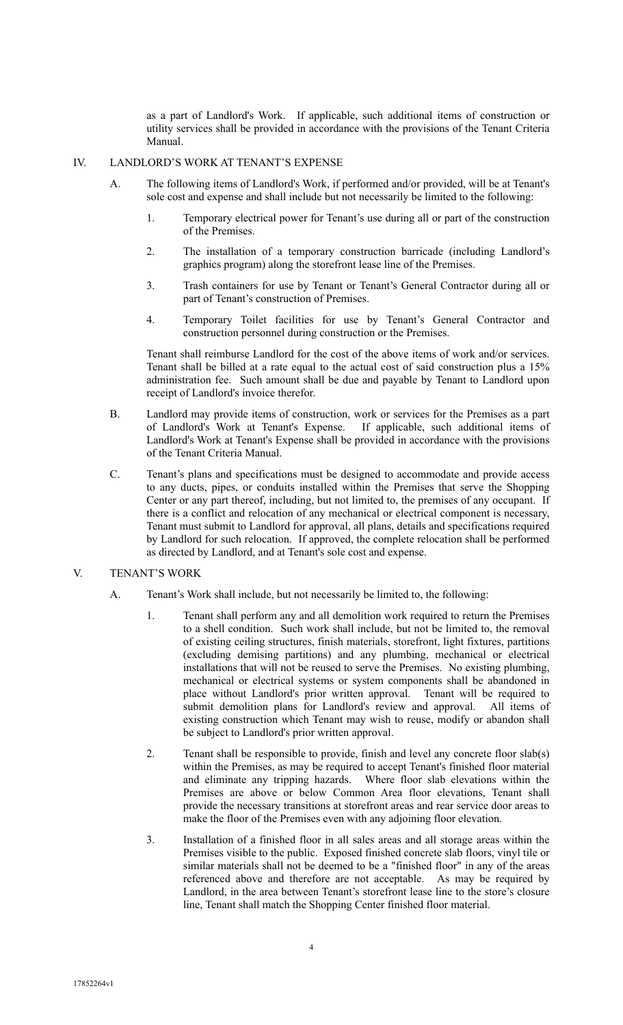as a part of Landlord's Work. If applicable, such additional items of construction or utility services shall be provided in accordance with the provisions of the Tenant Criteria Manual.

# IV. LANDLORD'S WORK AT TENANT'S EXPENSE

- A. The following items of Landlord's Work, if performed and/or provided, will be at Tenant's sole cost and expense and shall include but not necessarily be limited to the following:
	- 1. Temporary electrical power for Tenant's use during all or part of the construction of the Premises.
	- 2. The installation of a temporary construction barricade (including Landlord's graphics program) along the storefront lease line of the Premises.
	- 3. Trash containers for use by Tenant or Tenant's General Contractor during all or part of Tenant's construction of Premises.
	- 4. Temporary Toilet facilities for use by Tenant's General Contractor and construction personnel during construction or the Premises.

Tenant shall reimburse Landlord for the cost of the above items of work and/or services. Tenant shall be billed at a rate equal to the actual cost of said construction plus a 15% administration fee. Such amount shall be due and payable by Tenant to Landlord upon receipt of Landlord's invoice therefor.

- B. Landlord may provide items of construction, work or services for the Premises as a part of Landlord's Work at Tenant's Expense. If applicable, such additional items of Landlord's Work at Tenant's Expense shall be provided in accordance with the provisions of the Tenant Criteria Manual.
- C. Tenant's plans and specifications must be designed to accommodate and provide access to any ducts, pipes, or conduits installed within the Premises that serve the Shopping Center or any part thereof, including, but not limited to, the premises of any occupant. If there is a conflict and relocation of any mechanical or electrical component is necessary, Tenant must submit to Landlord for approval, all plans, details and specifications required by Landlord for such relocation. If approved, the complete relocation shall be performed as directed by Landlord, and at Tenant's sole cost and expense.

# V. TENANT'S WORK

- A. Tenant's Work shall include, but not necessarily be limited to, the following:
	- 1. Tenant shall perform any and all demolition work required to return the Premises to a shell condition. Such work shall include, but not be limited to, the removal of existing ceiling structures, finish materials, storefront, light fixtures, partitions (excluding demising partitions) and any plumbing, mechanical or electrical installations that will not be reused to serve the Premises. No existing plumbing, mechanical or electrical systems or system components shall be abandoned in place without Landlord's prior written approval. Tenant will be required to submit demolition plans for Landlord's review and approval. All items of existing construction which Tenant may wish to reuse, modify or abandon shall be subject to Landlord's prior written approval.
	- 2. Tenant shall be responsible to provide, finish and level any concrete floor slab(s) within the Premises, as may be required to accept Tenant's finished floor material and eliminate any tripping hazards. Where floor slab elevations within the Premises are above or below Common Area floor elevations, Tenant shall provide the necessary transitions at storefront areas and rear service door areas to make the floor of the Premises even with any adjoining floor elevation.
	- 3. Installation of a finished floor in all sales areas and all storage areas within the Premises visible to the public. Exposed finished concrete slab floors, vinyl tile or similar materials shall not be deemed to be a "finished floor" in any of the areas referenced above and therefore are not acceptable. As may be required by Landlord, in the area between Tenant's storefront lease line to the store's closure line, Tenant shall match the Shopping Center finished floor material.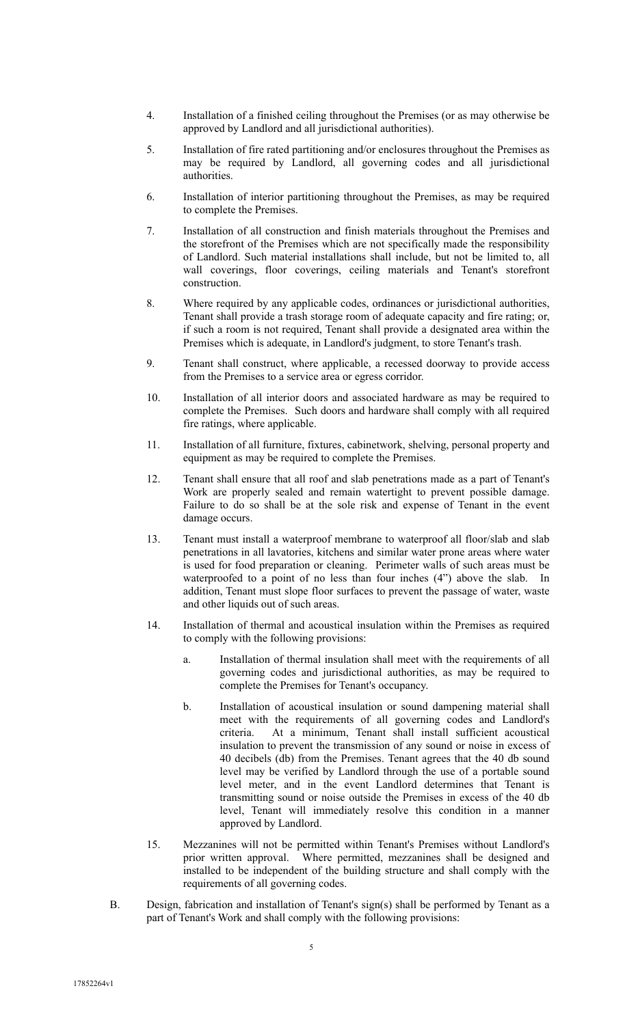- 4. Installation of a finished ceiling throughout the Premises (or as may otherwise be approved by Landlord and all jurisdictional authorities).
- 5. Installation of fire rated partitioning and/or enclosures throughout the Premises as may be required by Landlord, all governing codes and all jurisdictional authorities.
- 6. Installation of interior partitioning throughout the Premises, as may be required to complete the Premises.
- 7. Installation of all construction and finish materials throughout the Premises and the storefront of the Premises which are not specifically made the responsibility of Landlord. Such material installations shall include, but not be limited to, all wall coverings, floor coverings, ceiling materials and Tenant's storefront construction.
- 8. Where required by any applicable codes, ordinances or jurisdictional authorities, Tenant shall provide a trash storage room of adequate capacity and fire rating; or, if such a room is not required, Tenant shall provide a designated area within the Premises which is adequate, in Landlord's judgment, to store Tenant's trash.
- 9. Tenant shall construct, where applicable, a recessed doorway to provide access from the Premises to a service area or egress corridor.
- 10. Installation of all interior doors and associated hardware as may be required to complete the Premises. Such doors and hardware shall comply with all required fire ratings, where applicable.
- 11. Installation of all furniture, fixtures, cabinetwork, shelving, personal property and equipment as may be required to complete the Premises.
- 12. Tenant shall ensure that all roof and slab penetrations made as a part of Tenant's Work are properly sealed and remain watertight to prevent possible damage. Failure to do so shall be at the sole risk and expense of Tenant in the event damage occurs.
- 13. Tenant must install a waterproof membrane to waterproof all floor/slab and slab penetrations in all lavatories, kitchens and similar water prone areas where water is used for food preparation or cleaning. Perimeter walls of such areas must be waterproofed to a point of no less than four inches (4") above the slab. In addition, Tenant must slope floor surfaces to prevent the passage of water, waste and other liquids out of such areas.
- 14. Installation of thermal and acoustical insulation within the Premises as required to comply with the following provisions:
	- a. Installation of thermal insulation shall meet with the requirements of all governing codes and jurisdictional authorities, as may be required to complete the Premises for Tenant's occupancy.
	- b. Installation of acoustical insulation or sound dampening material shall meet with the requirements of all governing codes and Landlord's criteria. At a minimum, Tenant shall install sufficient acoustical insulation to prevent the transmission of any sound or noise in excess of 40 decibels (db) from the Premises. Tenant agrees that the 40 db sound level may be verified by Landlord through the use of a portable sound level meter, and in the event Landlord determines that Tenant is transmitting sound or noise outside the Premises in excess of the 40 db level, Tenant will immediately resolve this condition in a manner approved by Landlord.
- 15. Mezzanines will not be permitted within Tenant's Premises without Landlord's prior written approval. Where permitted, mezzanines shall be designed and installed to be independent of the building structure and shall comply with the requirements of all governing codes.
- B. Design, fabrication and installation of Tenant's sign(s) shall be performed by Tenant as a part of Tenant's Work and shall comply with the following provisions: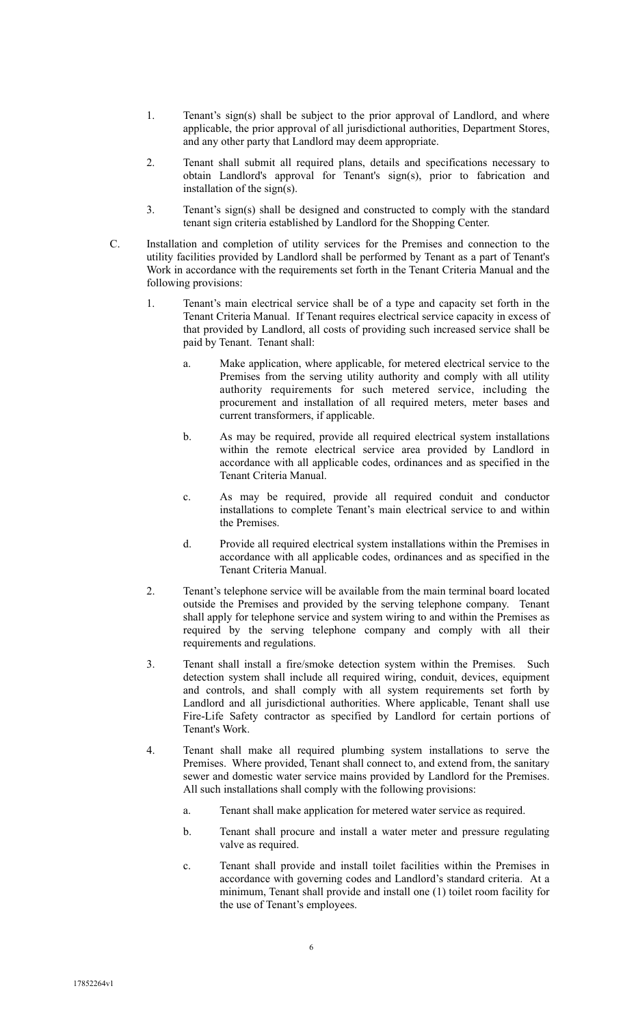- 1. Tenant's sign(s) shall be subject to the prior approval of Landlord, and where applicable, the prior approval of all jurisdictional authorities, Department Stores, and any other party that Landlord may deem appropriate.
- 2. Tenant shall submit all required plans, details and specifications necessary to obtain Landlord's approval for Tenant's sign(s), prior to fabrication and installation of the sign(s).
- 3. Tenant's sign(s) shall be designed and constructed to comply with the standard tenant sign criteria established by Landlord for the Shopping Center.
- C. Installation and completion of utility services for the Premises and connection to the utility facilities provided by Landlord shall be performed by Tenant as a part of Tenant's Work in accordance with the requirements set forth in the Tenant Criteria Manual and the following provisions:
	- 1. Tenant's main electrical service shall be of a type and capacity set forth in the Tenant Criteria Manual. If Tenant requires electrical service capacity in excess of that provided by Landlord, all costs of providing such increased service shall be paid by Tenant. Tenant shall:
		- a. Make application, where applicable, for metered electrical service to the Premises from the serving utility authority and comply with all utility authority requirements for such metered service, including the procurement and installation of all required meters, meter bases and current transformers, if applicable.
		- b. As may be required, provide all required electrical system installations within the remote electrical service area provided by Landlord in accordance with all applicable codes, ordinances and as specified in the Tenant Criteria Manual.
		- c. As may be required, provide all required conduit and conductor installations to complete Tenant's main electrical service to and within the Premises.
		- d. Provide all required electrical system installations within the Premises in accordance with all applicable codes, ordinances and as specified in the Tenant Criteria Manual.
	- 2. Tenant's telephone service will be available from the main terminal board located outside the Premises and provided by the serving telephone company. Tenant shall apply for telephone service and system wiring to and within the Premises as required by the serving telephone company and comply with all their requirements and regulations.
	- 3. Tenant shall install a fire/smoke detection system within the Premises. Such detection system shall include all required wiring, conduit, devices, equipment and controls, and shall comply with all system requirements set forth by Landlord and all jurisdictional authorities. Where applicable, Tenant shall use Fire-Life Safety contractor as specified by Landlord for certain portions of Tenant's Work.
	- 4. Tenant shall make all required plumbing system installations to serve the Premises. Where provided, Tenant shall connect to, and extend from, the sanitary sewer and domestic water service mains provided by Landlord for the Premises. All such installations shall comply with the following provisions:
		- a. Tenant shall make application for metered water service as required.
		- b. Tenant shall procure and install a water meter and pressure regulating valve as required.
		- c. Tenant shall provide and install toilet facilities within the Premises in accordance with governing codes and Landlord's standard criteria. At a minimum, Tenant shall provide and install one (1) toilet room facility for the use of Tenant's employees.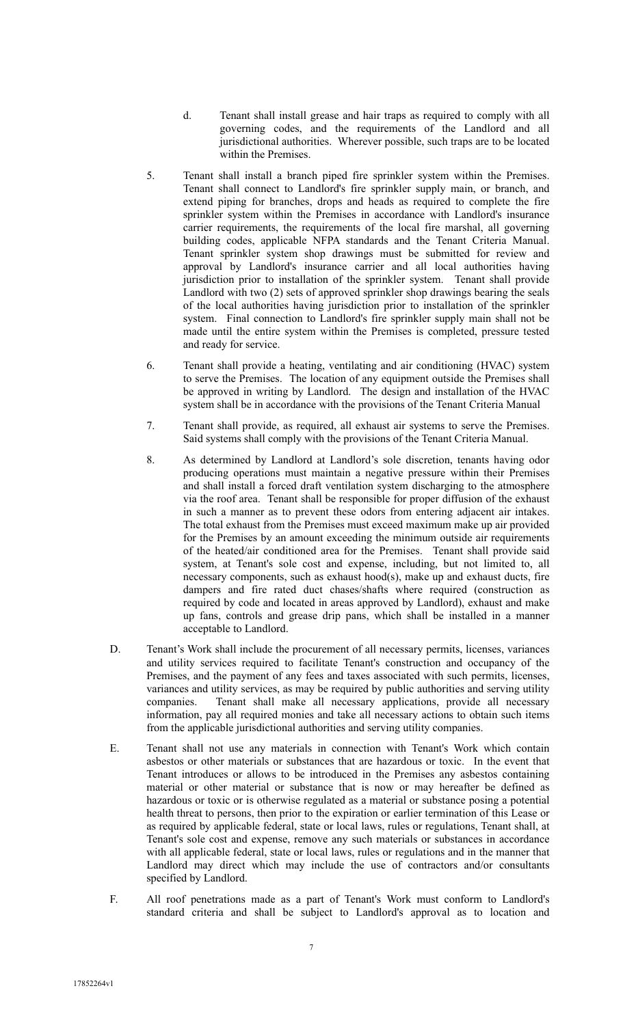- d. Tenant shall install grease and hair traps as required to comply with all governing codes, and the requirements of the Landlord and all jurisdictional authorities. Wherever possible, such traps are to be located within the Premises.
- 5. Tenant shall install a branch piped fire sprinkler system within the Premises. Tenant shall connect to Landlord's fire sprinkler supply main, or branch, and extend piping for branches, drops and heads as required to complete the fire sprinkler system within the Premises in accordance with Landlord's insurance carrier requirements, the requirements of the local fire marshal, all governing building codes, applicable NFPA standards and the Tenant Criteria Manual. Tenant sprinkler system shop drawings must be submitted for review and approval by Landlord's insurance carrier and all local authorities having jurisdiction prior to installation of the sprinkler system. Tenant shall provide Landlord with two (2) sets of approved sprinkler shop drawings bearing the seals of the local authorities having jurisdiction prior to installation of the sprinkler system. Final connection to Landlord's fire sprinkler supply main shall not be made until the entire system within the Premises is completed, pressure tested and ready for service.
- 6. Tenant shall provide a heating, ventilating and air conditioning (HVAC) system to serve the Premises. The location of any equipment outside the Premises shall be approved in writing by Landlord. The design and installation of the HVAC system shall be in accordance with the provisions of the Tenant Criteria Manual
- 7. Tenant shall provide, as required, all exhaust air systems to serve the Premises. Said systems shall comply with the provisions of the Tenant Criteria Manual.
- 8. As determined by Landlord at Landlord's sole discretion, tenants having odor producing operations must maintain a negative pressure within their Premises and shall install a forced draft ventilation system discharging to the atmosphere via the roof area. Tenant shall be responsible for proper diffusion of the exhaust in such a manner as to prevent these odors from entering adjacent air intakes. The total exhaust from the Premises must exceed maximum make up air provided for the Premises by an amount exceeding the minimum outside air requirements of the heated/air conditioned area for the Premises. Tenant shall provide said system, at Tenant's sole cost and expense, including, but not limited to, all necessary components, such as exhaust hood(s), make up and exhaust ducts, fire dampers and fire rated duct chases/shafts where required (construction as required by code and located in areas approved by Landlord), exhaust and make up fans, controls and grease drip pans, which shall be installed in a manner acceptable to Landlord.
- D. Tenant's Work shall include the procurement of all necessary permits, licenses, variances and utility services required to facilitate Tenant's construction and occupancy of the Premises, and the payment of any fees and taxes associated with such permits, licenses, variances and utility services, as may be required by public authorities and serving utility companies. Tenant shall make all necessary applications, provide all necessary information, pay all required monies and take all necessary actions to obtain such items from the applicable jurisdictional authorities and serving utility companies.
- E. Tenant shall not use any materials in connection with Tenant's Work which contain asbestos or other materials or substances that are hazardous or toxic. In the event that Tenant introduces or allows to be introduced in the Premises any asbestos containing material or other material or substance that is now or may hereafter be defined as hazardous or toxic or is otherwise regulated as a material or substance posing a potential health threat to persons, then prior to the expiration or earlier termination of this Lease or as required by applicable federal, state or local laws, rules or regulations, Tenant shall, at Tenant's sole cost and expense, remove any such materials or substances in accordance with all applicable federal, state or local laws, rules or regulations and in the manner that Landlord may direct which may include the use of contractors and/or consultants specified by Landlord.
- F. All roof penetrations made as a part of Tenant's Work must conform to Landlord's standard criteria and shall be subject to Landlord's approval as to location and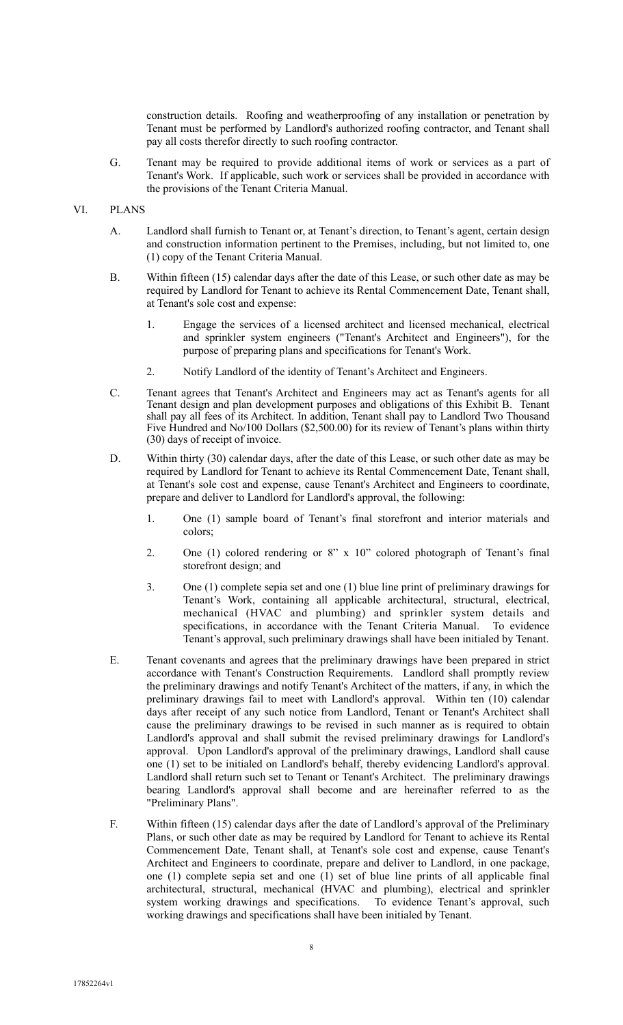construction details. Roofing and weatherproofing of any installation or penetration by Tenant must be performed by Landlord's authorized roofing contractor, and Tenant shall pay all costs therefor directly to such roofing contractor.

G. Tenant may be required to provide additional items of work or services as a part of Tenant's Work. If applicable, such work or services shall be provided in accordance with the provisions of the Tenant Criteria Manual.

### VI. PLANS

- A. Landlord shall furnish to Tenant or, at Tenant's direction, to Tenant's agent, certain design and construction information pertinent to the Premises, including, but not limited to, one (1) copy of the Tenant Criteria Manual.
- B. Within fifteen (15) calendar days after the date of this Lease, or such other date as may be required by Landlord for Tenant to achieve its Rental Commencement Date, Tenant shall, at Tenant's sole cost and expense:
	- 1. Engage the services of a licensed architect and licensed mechanical, electrical and sprinkler system engineers ("Tenant's Architect and Engineers"), for the purpose of preparing plans and specifications for Tenant's Work.
	- 2. Notify Landlord of the identity of Tenant's Architect and Engineers.
- C. Tenant agrees that Tenant's Architect and Engineers may act as Tenant's agents for all Tenant design and plan development purposes and obligations of this Exhibit B. Tenant shall pay all fees of its Architect. In addition, Tenant shall pay to Landlord Two Thousand Five Hundred and No/100 Dollars (\$2,500.00) for its review of Tenant's plans within thirty (30) days of receipt of invoice.
- D. Within thirty (30) calendar days, after the date of this Lease, or such other date as may be required by Landlord for Tenant to achieve its Rental Commencement Date, Tenant shall, at Tenant's sole cost and expense, cause Tenant's Architect and Engineers to coordinate, prepare and deliver to Landlord for Landlord's approval, the following:
	- 1. One (1) sample board of Tenant's final storefront and interior materials and colors;
	- 2. One (1) colored rendering or 8" x 10" colored photograph of Tenant's final storefront design; and
	- 3. One (1) complete sepia set and one (1) blue line print of preliminary drawings for Tenant's Work, containing all applicable architectural, structural, electrical, mechanical (HVAC and plumbing) and sprinkler system details and specifications, in accordance with the Tenant Criteria Manual. To evidence Tenant's approval, such preliminary drawings shall have been initialed by Tenant.
- E. Tenant covenants and agrees that the preliminary drawings have been prepared in strict accordance with Tenant's Construction Requirements. Landlord shall promptly review the preliminary drawings and notify Tenant's Architect of the matters, if any, in which the preliminary drawings fail to meet with Landlord's approval. Within ten (10) calendar days after receipt of any such notice from Landlord, Tenant or Tenant's Architect shall cause the preliminary drawings to be revised in such manner as is required to obtain Landlord's approval and shall submit the revised preliminary drawings for Landlord's approval. Upon Landlord's approval of the preliminary drawings, Landlord shall cause one (1) set to be initialed on Landlord's behalf, thereby evidencing Landlord's approval. Landlord shall return such set to Tenant or Tenant's Architect. The preliminary drawings bearing Landlord's approval shall become and are hereinafter referred to as the "Preliminary Plans".
- F. Within fifteen (15) calendar days after the date of Landlord's approval of the Preliminary Plans, or such other date as may be required by Landlord for Tenant to achieve its Rental Commencement Date, Tenant shall, at Tenant's sole cost and expense, cause Tenant's Architect and Engineers to coordinate, prepare and deliver to Landlord, in one package, one (1) complete sepia set and one (1) set of blue line prints of all applicable final architectural, structural, mechanical (HVAC and plumbing), electrical and sprinkler system working drawings and specifications. To evidence Tenant's approval, such working drawings and specifications shall have been initialed by Tenant.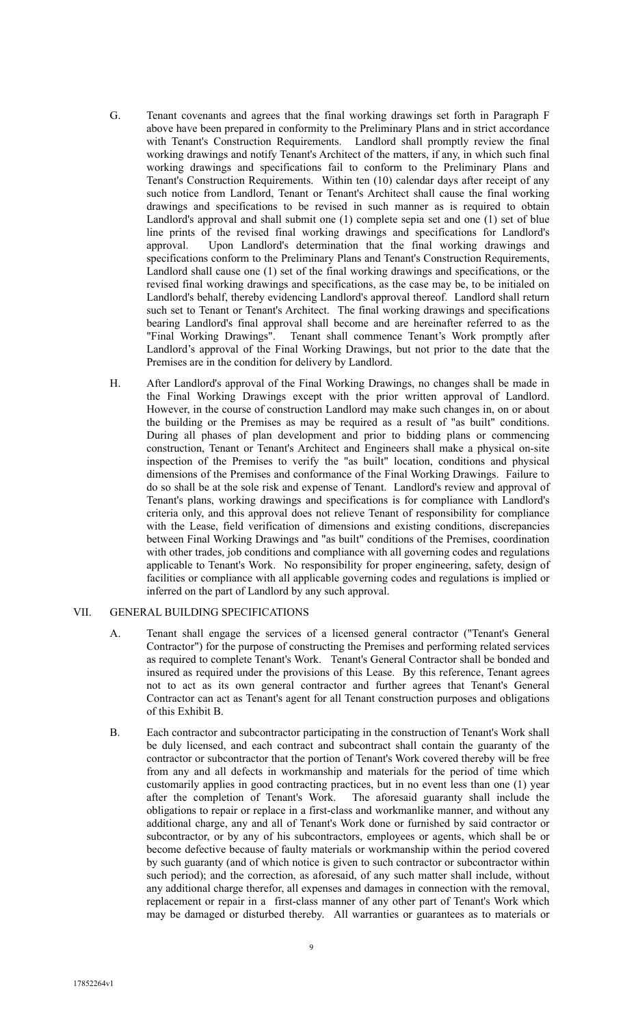- G. Tenant covenants and agrees that the final working drawings set forth in Paragraph F above have been prepared in conformity to the Preliminary Plans and in strict accordance with Tenant's Construction Requirements. Landlord shall promptly review the final working drawings and notify Tenant's Architect of the matters, if any, in which such final working drawings and specifications fail to conform to the Preliminary Plans and Tenant's Construction Requirements. Within ten (10) calendar days after receipt of any such notice from Landlord, Tenant or Tenant's Architect shall cause the final working drawings and specifications to be revised in such manner as is required to obtain Landlord's approval and shall submit one (1) complete sepia set and one (1) set of blue line prints of the revised final working drawings and specifications for Landlord's approval. Upon Landlord's determination that the final working drawings and specifications conform to the Preliminary Plans and Tenant's Construction Requirements, Landlord shall cause one (1) set of the final working drawings and specifications, or the revised final working drawings and specifications, as the case may be, to be initialed on Landlord's behalf, thereby evidencing Landlord's approval thereof. Landlord shall return such set to Tenant or Tenant's Architect. The final working drawings and specifications bearing Landlord's final approval shall become and are hereinafter referred to as the "Final Working Drawings". Tenant shall commence Tenant's Work promptly after Tenant shall commence Tenant's Work promptly after Landlord's approval of the Final Working Drawings, but not prior to the date that the Premises are in the condition for delivery by Landlord.
- H. After Landlord's approval of the Final Working Drawings, no changes shall be made in the Final Working Drawings except with the prior written approval of Landlord. However, in the course of construction Landlord may make such changes in, on or about the building or the Premises as may be required as a result of "as built" conditions. During all phases of plan development and prior to bidding plans or commencing construction, Tenant or Tenant's Architect and Engineers shall make a physical on-site inspection of the Premises to verify the "as built" location, conditions and physical dimensions of the Premises and conformance of the Final Working Drawings. Failure to do so shall be at the sole risk and expense of Tenant. Landlord's review and approval of Tenant's plans, working drawings and specifications is for compliance with Landlord's criteria only, and this approval does not relieve Tenant of responsibility for compliance with the Lease, field verification of dimensions and existing conditions, discrepancies between Final Working Drawings and "as built" conditions of the Premises, coordination with other trades, job conditions and compliance with all governing codes and regulations applicable to Tenant's Work. No responsibility for proper engineering, safety, design of facilities or compliance with all applicable governing codes and regulations is implied or inferred on the part of Landlord by any such approval.

### VII. GENERAL BUILDING SPECIFICATIONS

- A. Tenant shall engage the services of a licensed general contractor ("Tenant's General Contractor") for the purpose of constructing the Premises and performing related services as required to complete Tenant's Work. Tenant's General Contractor shall be bonded and insured as required under the provisions of this Lease. By this reference, Tenant agrees not to act as its own general contractor and further agrees that Tenant's General Contractor can act as Tenant's agent for all Tenant construction purposes and obligations of this Exhibit B.
- B. Each contractor and subcontractor participating in the construction of Tenant's Work shall be duly licensed, and each contract and subcontract shall contain the guaranty of the contractor or subcontractor that the portion of Tenant's Work covered thereby will be free from any and all defects in workmanship and materials for the period of time which customarily applies in good contracting practices, but in no event less than one (1) year after the completion of Tenant's Work. The aforesaid guaranty shall include the obligations to repair or replace in a first-class and workmanlike manner, and without any additional charge, any and all of Tenant's Work done or furnished by said contractor or subcontractor, or by any of his subcontractors, employees or agents, which shall be or become defective because of faulty materials or workmanship within the period covered by such guaranty (and of which notice is given to such contractor or subcontractor within such period); and the correction, as aforesaid, of any such matter shall include, without any additional charge therefor, all expenses and damages in connection with the removal, replacement or repair in a first-class manner of any other part of Tenant's Work which may be damaged or disturbed thereby. All warranties or guarantees as to materials or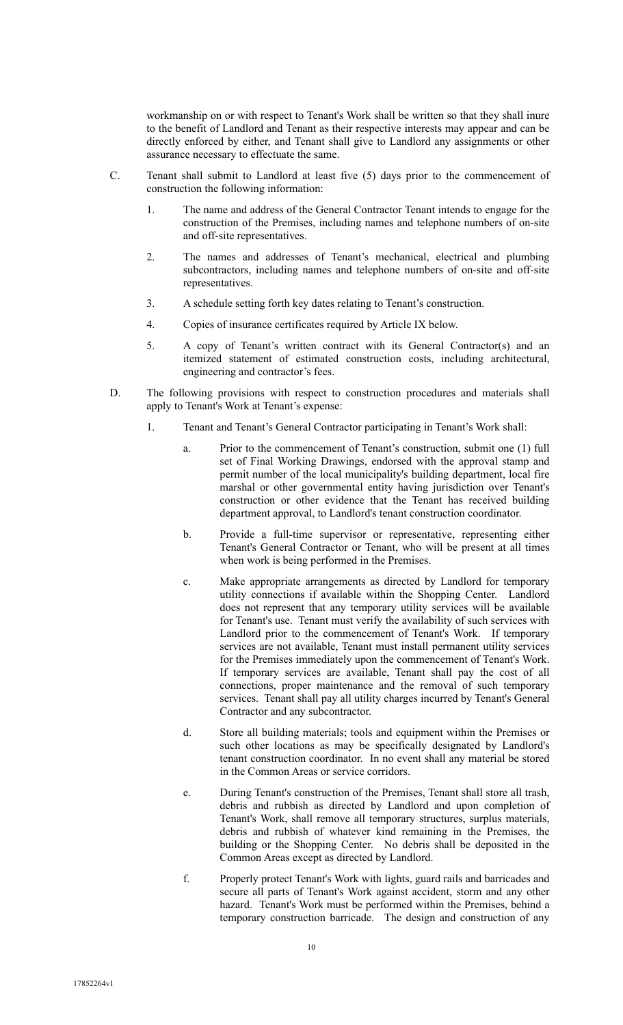workmanship on or with respect to Tenant's Work shall be written so that they shall inure to the benefit of Landlord and Tenant as their respective interests may appear and can be directly enforced by either, and Tenant shall give to Landlord any assignments or other assurance necessary to effectuate the same.

- C. Tenant shall submit to Landlord at least five (5) days prior to the commencement of construction the following information:
	- 1. The name and address of the General Contractor Tenant intends to engage for the construction of the Premises, including names and telephone numbers of on-site and off-site representatives.
	- 2. The names and addresses of Tenant's mechanical, electrical and plumbing subcontractors, including names and telephone numbers of on-site and off-site representatives.
	- 3. A schedule setting forth key dates relating to Tenant's construction.
	- 4. Copies of insurance certificates required by Article IX below.
	- 5. A copy of Tenant's written contract with its General Contractor(s) and an itemized statement of estimated construction costs, including architectural, engineering and contractor's fees.
- D. The following provisions with respect to construction procedures and materials shall apply to Tenant's Work at Tenant's expense:
	- 1. Tenant and Tenant's General Contractor participating in Tenant's Work shall:
		- a. Prior to the commencement of Tenant's construction, submit one (1) full set of Final Working Drawings, endorsed with the approval stamp and permit number of the local municipality's building department, local fire marshal or other governmental entity having jurisdiction over Tenant's construction or other evidence that the Tenant has received building department approval, to Landlord's tenant construction coordinator.
		- b. Provide a full-time supervisor or representative, representing either Tenant's General Contractor or Tenant, who will be present at all times when work is being performed in the Premises.
		- c. Make appropriate arrangements as directed by Landlord for temporary utility connections if available within the Shopping Center. Landlord does not represent that any temporary utility services will be available for Tenant's use. Tenant must verify the availability of such services with Landlord prior to the commencement of Tenant's Work. If temporary services are not available, Tenant must install permanent utility services for the Premises immediately upon the commencement of Tenant's Work. If temporary services are available, Tenant shall pay the cost of all connections, proper maintenance and the removal of such temporary services. Tenant shall pay all utility charges incurred by Tenant's General Contractor and any subcontractor.
		- d. Store all building materials; tools and equipment within the Premises or such other locations as may be specifically designated by Landlord's tenant construction coordinator. In no event shall any material be stored in the Common Areas or service corridors.
		- e. During Tenant's construction of the Premises, Tenant shall store all trash, debris and rubbish as directed by Landlord and upon completion of Tenant's Work, shall remove all temporary structures, surplus materials, debris and rubbish of whatever kind remaining in the Premises, the building or the Shopping Center. No debris shall be deposited in the Common Areas except as directed by Landlord.
		- f. Properly protect Tenant's Work with lights, guard rails and barricades and secure all parts of Tenant's Work against accident, storm and any other hazard. Tenant's Work must be performed within the Premises, behind a temporary construction barricade. The design and construction of any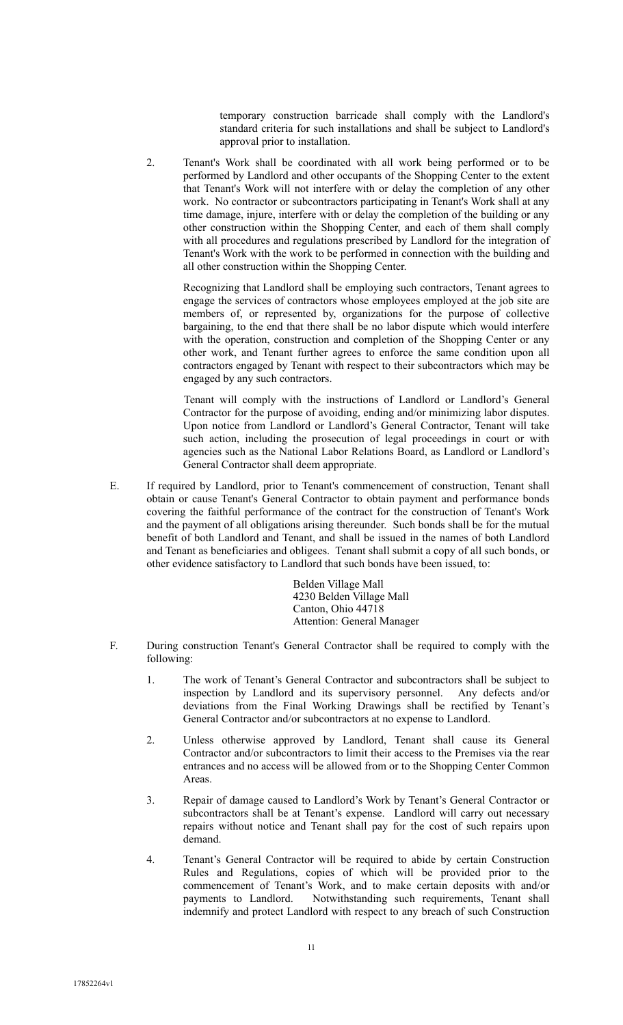temporary construction barricade shall comply with the Landlord's standard criteria for such installations and shall be subject to Landlord's approval prior to installation.

2. Tenant's Work shall be coordinated with all work being performed or to be performed by Landlord and other occupants of the Shopping Center to the extent that Tenant's Work will not interfere with or delay the completion of any other work. No contractor or subcontractors participating in Tenant's Work shall at any time damage, injure, interfere with or delay the completion of the building or any other construction within the Shopping Center, and each of them shall comply with all procedures and regulations prescribed by Landlord for the integration of Tenant's Work with the work to be performed in connection with the building and all other construction within the Shopping Center.

 Recognizing that Landlord shall be employing such contractors, Tenant agrees to engage the services of contractors whose employees employed at the job site are members of, or represented by, organizations for the purpose of collective bargaining, to the end that there shall be no labor dispute which would interfere with the operation, construction and completion of the Shopping Center or any other work, and Tenant further agrees to enforce the same condition upon all contractors engaged by Tenant with respect to their subcontractors which may be engaged by any such contractors.

 Tenant will comply with the instructions of Landlord or Landlord's General Contractor for the purpose of avoiding, ending and/or minimizing labor disputes. Upon notice from Landlord or Landlord's General Contractor, Tenant will take such action, including the prosecution of legal proceedings in court or with agencies such as the National Labor Relations Board, as Landlord or Landlord's General Contractor shall deem appropriate.

E. If required by Landlord, prior to Tenant's commencement of construction, Tenant shall obtain or cause Tenant's General Contractor to obtain payment and performance bonds covering the faithful performance of the contract for the construction of Tenant's Work and the payment of all obligations arising thereunder. Such bonds shall be for the mutual benefit of both Landlord and Tenant, and shall be issued in the names of both Landlord and Tenant as beneficiaries and obligees. Tenant shall submit a copy of all such bonds, or other evidence satisfactory to Landlord that such bonds have been issued, to:

> Belden Village Mall 4230 Belden Village Mall Canton, Ohio 44718 Attention: General Manager

- F. During construction Tenant's General Contractor shall be required to comply with the following:
	- 1. The work of Tenant's General Contractor and subcontractors shall be subject to inspection by Landlord and its supervisory personnel. Any defects and/or deviations from the Final Working Drawings shall be rectified by Tenant's General Contractor and/or subcontractors at no expense to Landlord.
	- 2. Unless otherwise approved by Landlord, Tenant shall cause its General Contractor and/or subcontractors to limit their access to the Premises via the rear entrances and no access will be allowed from or to the Shopping Center Common **Areas**.
	- 3. Repair of damage caused to Landlord's Work by Tenant's General Contractor or subcontractors shall be at Tenant's expense. Landlord will carry out necessary repairs without notice and Tenant shall pay for the cost of such repairs upon demand.
	- 4. Tenant's General Contractor will be required to abide by certain Construction Rules and Regulations, copies of which will be provided prior to the commencement of Tenant's Work, and to make certain deposits with and/or payments to Landlord. Notwithstanding such requirements, Tenant shall indemnify and protect Landlord with respect to any breach of such Construction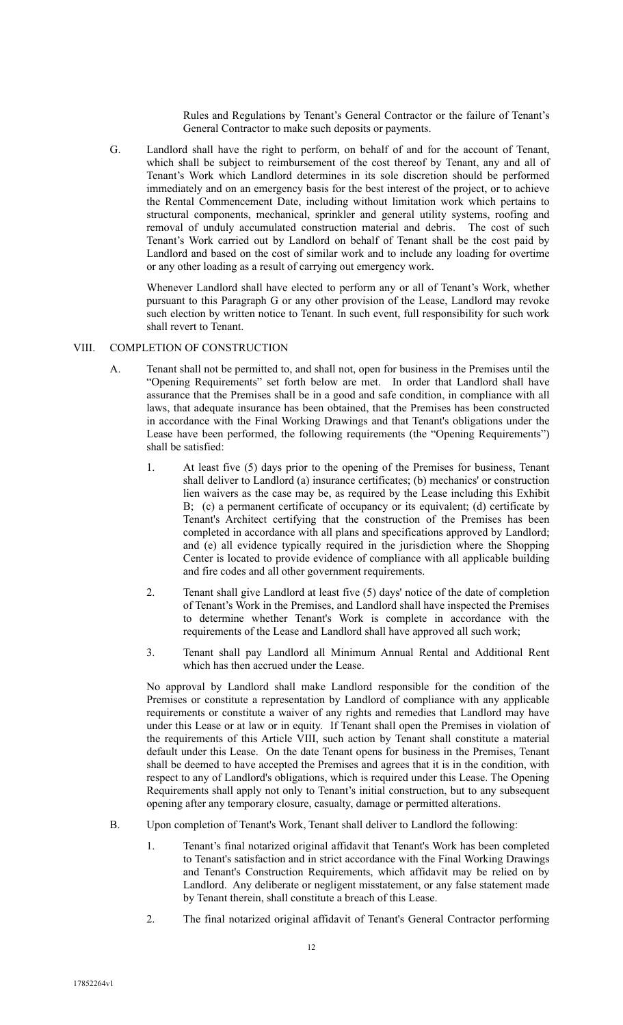Rules and Regulations by Tenant's General Contractor or the failure of Tenant's General Contractor to make such deposits or payments.

 G. Landlord shall have the right to perform, on behalf of and for the account of Tenant, which shall be subject to reimbursement of the cost thereof by Tenant, any and all of Tenant's Work which Landlord determines in its sole discretion should be performed immediately and on an emergency basis for the best interest of the project, or to achieve the Rental Commencement Date, including without limitation work which pertains to structural components, mechanical, sprinkler and general utility systems, roofing and removal of unduly accumulated construction material and debris. The cost of such Tenant's Work carried out by Landlord on behalf of Tenant shall be the cost paid by Landlord and based on the cost of similar work and to include any loading for overtime or any other loading as a result of carrying out emergency work.

 Whenever Landlord shall have elected to perform any or all of Tenant's Work, whether pursuant to this Paragraph G or any other provision of the Lease, Landlord may revoke such election by written notice to Tenant. In such event, full responsibility for such work shall revert to Tenant.

### VIII. COMPLETION OF CONSTRUCTION

- A. Tenant shall not be permitted to, and shall not, open for business in the Premises until the "Opening Requirements" set forth below are met. In order that Landlord shall have assurance that the Premises shall be in a good and safe condition, in compliance with all laws, that adequate insurance has been obtained, that the Premises has been constructed in accordance with the Final Working Drawings and that Tenant's obligations under the Lease have been performed, the following requirements (the "Opening Requirements") shall be satisfied:
	- 1. At least five (5) days prior to the opening of the Premises for business, Tenant shall deliver to Landlord (a) insurance certificates; (b) mechanics' or construction lien waivers as the case may be, as required by the Lease including this Exhibit B; (c) a permanent certificate of occupancy or its equivalent; (d) certificate by Tenant's Architect certifying that the construction of the Premises has been completed in accordance with all plans and specifications approved by Landlord; and (e) all evidence typically required in the jurisdiction where the Shopping Center is located to provide evidence of compliance with all applicable building and fire codes and all other government requirements.
	- 2. Tenant shall give Landlord at least five (5) days' notice of the date of completion of Tenant's Work in the Premises, and Landlord shall have inspected the Premises to determine whether Tenant's Work is complete in accordance with the requirements of the Lease and Landlord shall have approved all such work;
	- 3. Tenant shall pay Landlord all Minimum Annual Rental and Additional Rent which has then accrued under the Lease.

No approval by Landlord shall make Landlord responsible for the condition of the Premises or constitute a representation by Landlord of compliance with any applicable requirements or constitute a waiver of any rights and remedies that Landlord may have under this Lease or at law or in equity. If Tenant shall open the Premises in violation of the requirements of this Article VIII, such action by Tenant shall constitute a material default under this Lease. On the date Tenant opens for business in the Premises, Tenant shall be deemed to have accepted the Premises and agrees that it is in the condition, with respect to any of Landlord's obligations, which is required under this Lease. The Opening Requirements shall apply not only to Tenant's initial construction, but to any subsequent opening after any temporary closure, casualty, damage or permitted alterations.

- B. Upon completion of Tenant's Work, Tenant shall deliver to Landlord the following:
	- 1. Tenant's final notarized original affidavit that Tenant's Work has been completed to Tenant's satisfaction and in strict accordance with the Final Working Drawings and Tenant's Construction Requirements, which affidavit may be relied on by Landlord. Any deliberate or negligent misstatement, or any false statement made by Tenant therein, shall constitute a breach of this Lease.
	- 2. The final notarized original affidavit of Tenant's General Contractor performing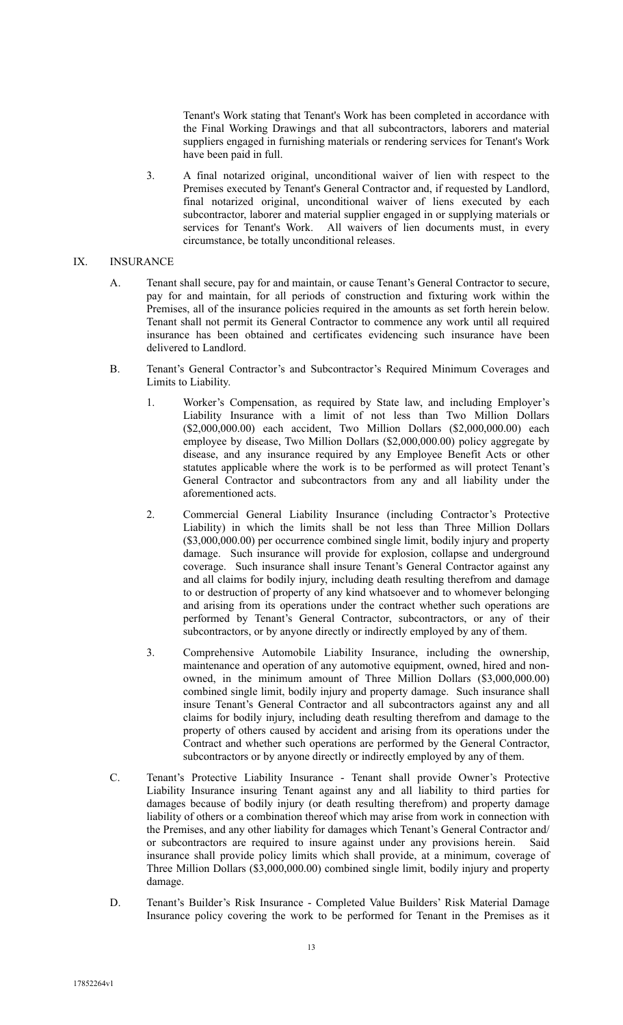Tenant's Work stating that Tenant's Work has been completed in accordance with the Final Working Drawings and that all subcontractors, laborers and material suppliers engaged in furnishing materials or rendering services for Tenant's Work have been paid in full.

3. A final notarized original, unconditional waiver of lien with respect to the Premises executed by Tenant's General Contractor and, if requested by Landlord, final notarized original, unconditional waiver of liens executed by each subcontractor, laborer and material supplier engaged in or supplying materials or services for Tenant's Work. All waivers of lien documents must, in every circumstance, be totally unconditional releases.

### IX. INSURANCE

- A. Tenant shall secure, pay for and maintain, or cause Tenant's General Contractor to secure, pay for and maintain, for all periods of construction and fixturing work within the Premises, all of the insurance policies required in the amounts as set forth herein below. Tenant shall not permit its General Contractor to commence any work until all required insurance has been obtained and certificates evidencing such insurance have been delivered to Landlord.
- B. Tenant's General Contractor's and Subcontractor's Required Minimum Coverages and Limits to Liability.
	- 1. Worker's Compensation, as required by State law, and including Employer's Liability Insurance with a limit of not less than Two Million Dollars (\$2,000,000.00) each accident, Two Million Dollars (\$2,000,000.00) each employee by disease, Two Million Dollars (\$2,000,000.00) policy aggregate by disease, and any insurance required by any Employee Benefit Acts or other statutes applicable where the work is to be performed as will protect Tenant's General Contractor and subcontractors from any and all liability under the aforementioned acts.
	- 2. Commercial General Liability Insurance (including Contractor's Protective Liability) in which the limits shall be not less than Three Million Dollars (\$3,000,000.00) per occurrence combined single limit, bodily injury and property damage. Such insurance will provide for explosion, collapse and underground coverage. Such insurance shall insure Tenant's General Contractor against any and all claims for bodily injury, including death resulting therefrom and damage to or destruction of property of any kind whatsoever and to whomever belonging and arising from its operations under the contract whether such operations are performed by Tenant's General Contractor, subcontractors, or any of their subcontractors, or by anyone directly or indirectly employed by any of them.
	- 3. Comprehensive Automobile Liability Insurance, including the ownership, maintenance and operation of any automotive equipment, owned, hired and nonowned, in the minimum amount of Three Million Dollars (\$3,000,000.00) combined single limit, bodily injury and property damage. Such insurance shall insure Tenant's General Contractor and all subcontractors against any and all claims for bodily injury, including death resulting therefrom and damage to the property of others caused by accident and arising from its operations under the Contract and whether such operations are performed by the General Contractor, subcontractors or by anyone directly or indirectly employed by any of them.
- C. Tenant's Protective Liability Insurance Tenant shall provide Owner's Protective Liability Insurance insuring Tenant against any and all liability to third parties for damages because of bodily injury (or death resulting therefrom) and property damage liability of others or a combination thereof which may arise from work in connection with the Premises, and any other liability for damages which Tenant's General Contractor and/ or subcontractors are required to insure against under any provisions herein. Said insurance shall provide policy limits which shall provide, at a minimum, coverage of Three Million Dollars (\$3,000,000.00) combined single limit, bodily injury and property damage.
- D. Tenant's Builder's Risk Insurance Completed Value Builders' Risk Material Damage Insurance policy covering the work to be performed for Tenant in the Premises as it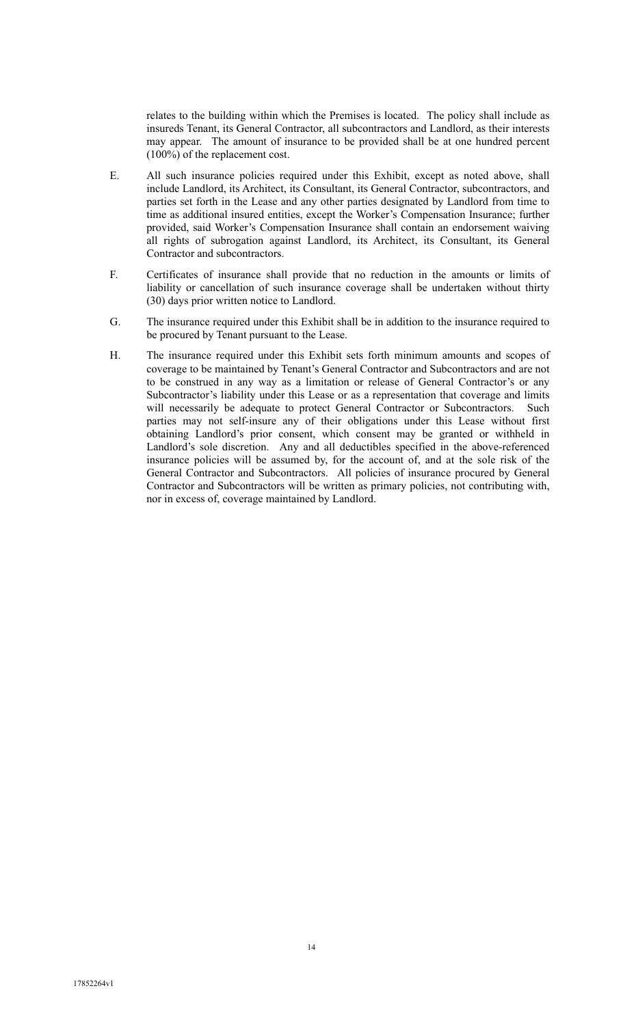relates to the building within which the Premises is located. The policy shall include as insureds Tenant, its General Contractor, all subcontractors and Landlord, as their interests may appear. The amount of insurance to be provided shall be at one hundred percent (100%) of the replacement cost.

- E. All such insurance policies required under this Exhibit, except as noted above, shall include Landlord, its Architect, its Consultant, its General Contractor, subcontractors, and parties set forth in the Lease and any other parties designated by Landlord from time to time as additional insured entities, except the Worker's Compensation Insurance; further provided, said Worker's Compensation Insurance shall contain an endorsement waiving all rights of subrogation against Landlord, its Architect, its Consultant, its General Contractor and subcontractors.
- F. Certificates of insurance shall provide that no reduction in the amounts or limits of liability or cancellation of such insurance coverage shall be undertaken without thirty (30) days prior written notice to Landlord.
- G. The insurance required under this Exhibit shall be in addition to the insurance required to be procured by Tenant pursuant to the Lease.
- H. The insurance required under this Exhibit sets forth minimum amounts and scopes of coverage to be maintained by Tenant's General Contractor and Subcontractors and are not to be construed in any way as a limitation or release of General Contractor's or any Subcontractor's liability under this Lease or as a representation that coverage and limits will necessarily be adequate to protect General Contractor or Subcontractors. Such parties may not self-insure any of their obligations under this Lease without first obtaining Landlord's prior consent, which consent may be granted or withheld in Landlord's sole discretion. Any and all deductibles specified in the above-referenced insurance policies will be assumed by, for the account of, and at the sole risk of the General Contractor and Subcontractors. All policies of insurance procured by General Contractor and Subcontractors will be written as primary policies, not contributing with, nor in excess of, coverage maintained by Landlord.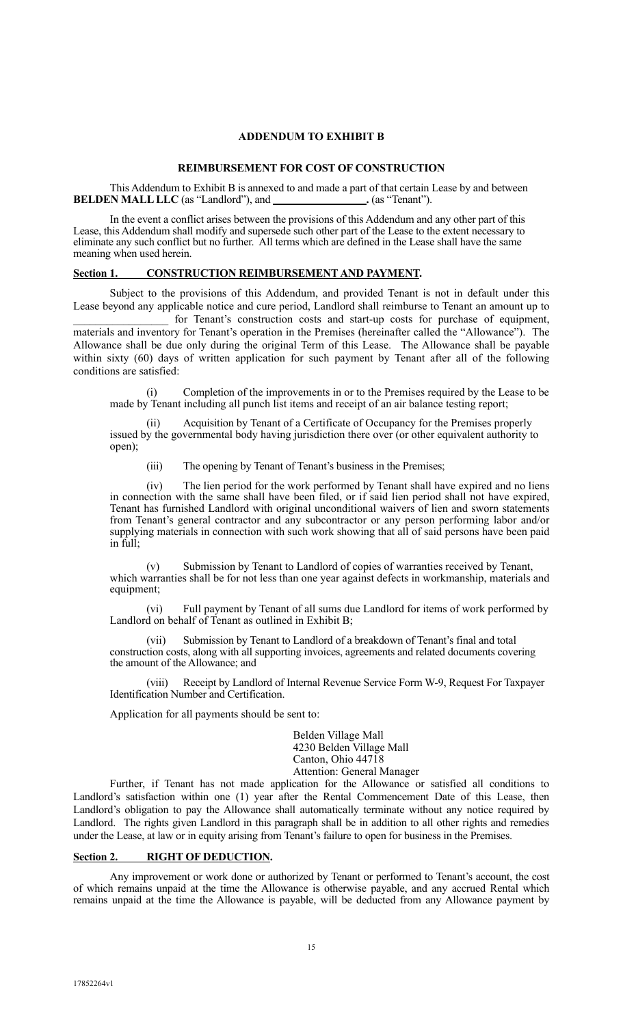#### **ADDENDUM TO EXHIBIT B**

### **REIMBURSEMENT FOR COST OF CONSTRUCTION**

 This Addendum to Exhibit B is annexed to and made a part of that certain Lease by and between **BELDEN MALL LLC** (as "Landlord"), and **.** (as "Tenant").

 In the event a conflict arises between the provisions of this Addendum and any other part of this Lease, this Addendum shall modify and supersede such other part of the Lease to the extent necessary to eliminate any such conflict but no further. All terms which are defined in the Lease shall have the same meaning when used herein.

### **Section 1. CONSTRUCTION REIMBURSEMENT AND PAYMENT.**

 Subject to the provisions of this Addendum, and provided Tenant is not in default under this Lease beyond any applicable notice and cure period, Landlord shall reimburse to Tenant an amount up to

for Tenant's construction costs and start-up costs for purchase of equipment, materials and inventory for Tenant's operation in the Premises (hereinafter called the "Allowance"). The Allowance shall be due only during the original Term of this Lease. The Allowance shall be payable within sixty (60) days of written application for such payment by Tenant after all of the following conditions are satisfied:

Completion of the improvements in or to the Premises required by the Lease to be made by Tenant including all punch list items and receipt of an air balance testing report;

Acquisition by Tenant of a Certificate of Occupancy for the Premises properly issued by the governmental body having jurisdiction there over (or other equivalent authority to open);

(iii) The opening by Tenant of Tenant's business in the Premises;

 (iv) The lien period for the work performed by Tenant shall have expired and no liens in connection with the same shall have been filed, or if said lien period shall not have expired, Tenant has furnished Landlord with original unconditional waivers of lien and sworn statements from Tenant's general contractor and any subcontractor or any person performing labor and/or supplying materials in connection with such work showing that all of said persons have been paid in full;

 (v) Submission by Tenant to Landlord of copies of warranties received by Tenant, which warranties shall be for not less than one year against defects in workmanship, materials and equipment;

 (vi) Full payment by Tenant of all sums due Landlord for items of work performed by Landlord on behalf of Tenant as outlined in Exhibit B;

 (vii) Submission by Tenant to Landlord of a breakdown of Tenant's final and total construction costs, along with all supporting invoices, agreements and related documents covering the amount of the Allowance; and

 (viii) Receipt by Landlord of Internal Revenue Service Form W-9, Request For Taxpayer Identification Number and Certification.

Application for all payments should be sent to:

 Belden Village Mall 4230 Belden Village Mall Canton, Ohio 44718 Attention: General Manager

Further, if Tenant has not made application for the Allowance or satisfied all conditions to Landlord's satisfaction within one (1) year after the Rental Commencement Date of this Lease, then Landlord's obligation to pay the Allowance shall automatically terminate without any notice required by Landlord. The rights given Landlord in this paragraph shall be in addition to all other rights and remedies under the Lease, at law or in equity arising from Tenant's failure to open for business in the Premises.

#### **Section 2. RIGHT OF DEDUCTION.**

 Any improvement or work done or authorized by Tenant or performed to Tenant's account, the cost of which remains unpaid at the time the Allowance is otherwise payable, and any accrued Rental which remains unpaid at the time the Allowance is payable, will be deducted from any Allowance payment by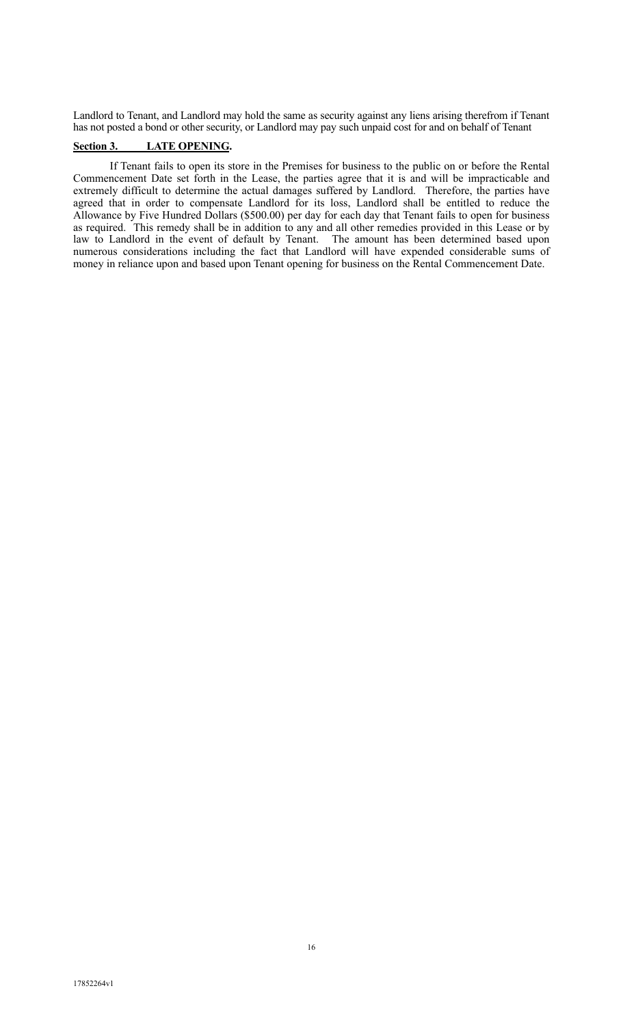Landlord to Tenant, and Landlord may hold the same as security against any liens arising therefrom if Tenant has not posted a bond or other security, or Landlord may pay such unpaid cost for and on behalf of Tenant

### **Section 3. LATE OPENING.**

 If Tenant fails to open its store in the Premises for business to the public on or before the Rental Commencement Date set forth in the Lease, the parties agree that it is and will be impracticable and extremely difficult to determine the actual damages suffered by Landlord. Therefore, the parties have agreed that in order to compensate Landlord for its loss, Landlord shall be entitled to reduce the Allowance by Five Hundred Dollars (\$500.00) per day for each day that Tenant fails to open for business as required. This remedy shall be in addition to any and all other remedies provided in this Lease or by law to Landlord in the event of default by Tenant. The amount has been determined based upon numerous considerations including the fact that Landlord will have expended considerable sums of money in reliance upon and based upon Tenant opening for business on the Rental Commencement Date.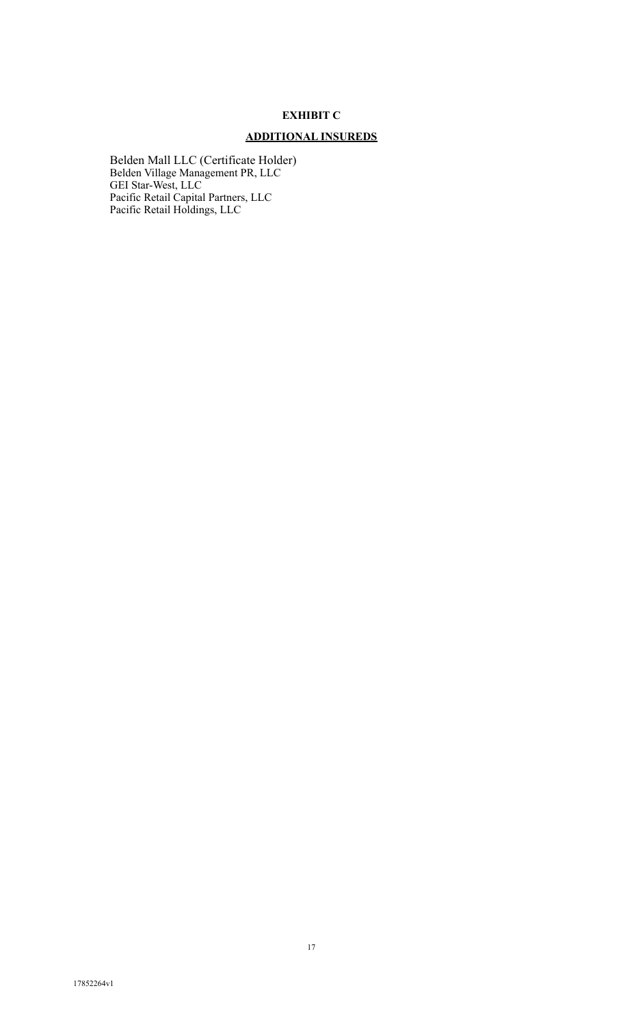# **EXHIBIT C**

# **ADDITIONAL INSUREDS**

Belden Mall LLC (Certificate Holder) Belden Village Management PR, LLC GEI Star-West, LLC Pacific Retail Capital Partners, LLC Pacific Retail Holdings, LLC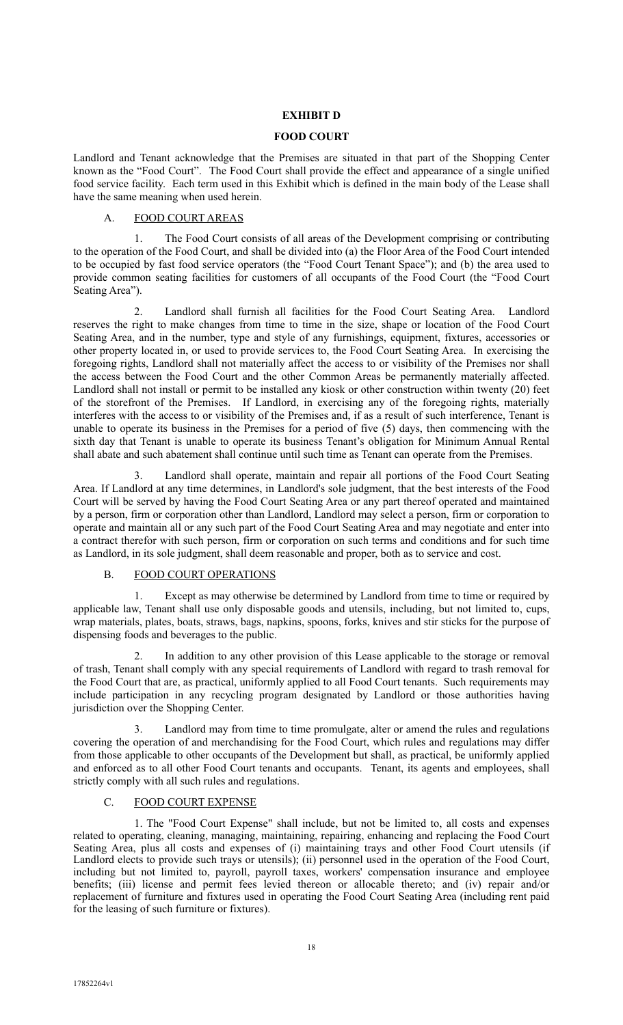### **EXHIBIT D**

#### **FOOD COURT**

Landlord and Tenant acknowledge that the Premises are situated in that part of the Shopping Center known as the "Food Court". The Food Court shall provide the effect and appearance of a single unified food service facility. Each term used in this Exhibit which is defined in the main body of the Lease shall have the same meaning when used herein.

# A. FOOD COURT AREAS

1. The Food Court consists of all areas of the Development comprising or contributing to the operation of the Food Court, and shall be divided into (a) the Floor Area of the Food Court intended to be occupied by fast food service operators (the "Food Court Tenant Space"); and (b) the area used to provide common seating facilities for customers of all occupants of the Food Court (the "Food Court Seating Area").

2. Landlord shall furnish all facilities for the Food Court Seating Area. Landlord reserves the right to make changes from time to time in the size, shape or location of the Food Court Seating Area, and in the number, type and style of any furnishings, equipment, fixtures, accessories or other property located in, or used to provide services to, the Food Court Seating Area. In exercising the foregoing rights, Landlord shall not materially affect the access to or visibility of the Premises nor shall the access between the Food Court and the other Common Areas be permanently materially affected. Landlord shall not install or permit to be installed any kiosk or other construction within twenty (20) feet of the storefront of the Premises. If Landlord, in exercising any of the foregoing rights, materially interferes with the access to or visibility of the Premises and, if as a result of such interference, Tenant is unable to operate its business in the Premises for a period of five (5) days, then commencing with the sixth day that Tenant is unable to operate its business Tenant's obligation for Minimum Annual Rental shall abate and such abatement shall continue until such time as Tenant can operate from the Premises.

Landlord shall operate, maintain and repair all portions of the Food Court Seating Area. If Landlord at any time determines, in Landlord's sole judgment, that the best interests of the Food Court will be served by having the Food Court Seating Area or any part thereof operated and maintained by a person, firm or corporation other than Landlord, Landlord may select a person, firm or corporation to operate and maintain all or any such part of the Food Court Seating Area and may negotiate and enter into a contract therefor with such person, firm or corporation on such terms and conditions and for such time as Landlord, in its sole judgment, shall deem reasonable and proper, both as to service and cost.

### B. FOOD COURT OPERATIONS

1. Except as may otherwise be determined by Landlord from time to time or required by applicable law, Tenant shall use only disposable goods and utensils, including, but not limited to, cups, wrap materials, plates, boats, straws, bags, napkins, spoons, forks, knives and stir sticks for the purpose of dispensing foods and beverages to the public.

2. In addition to any other provision of this Lease applicable to the storage or removal of trash, Tenant shall comply with any special requirements of Landlord with regard to trash removal for the Food Court that are, as practical, uniformly applied to all Food Court tenants. Such requirements may include participation in any recycling program designated by Landlord or those authorities having jurisdiction over the Shopping Center.

Landlord may from time to time promulgate, alter or amend the rules and regulations covering the operation of and merchandising for the Food Court, which rules and regulations may differ from those applicable to other occupants of the Development but shall, as practical, be uniformly applied and enforced as to all other Food Court tenants and occupants. Tenant, its agents and employees, shall strictly comply with all such rules and regulations.

#### C. FOOD COURT EXPENSE

1. The "Food Court Expense" shall include, but not be limited to, all costs and expenses related to operating, cleaning, managing, maintaining, repairing, enhancing and replacing the Food Court Seating Area, plus all costs and expenses of (i) maintaining trays and other Food Court utensils (if Landlord elects to provide such trays or utensils); (ii) personnel used in the operation of the Food Court, including but not limited to, payroll, payroll taxes, workers' compensation insurance and employee benefits; (iii) license and permit fees levied thereon or allocable thereto; and (iv) repair and/or replacement of furniture and fixtures used in operating the Food Court Seating Area (including rent paid for the leasing of such furniture or fixtures).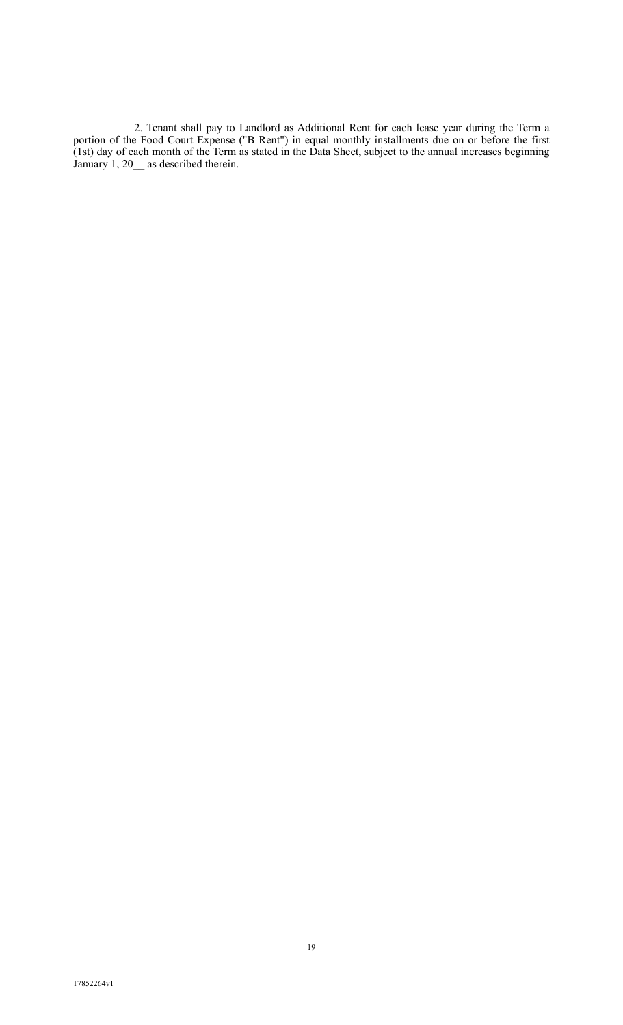2. Tenant shall pay to Landlord as Additional Rent for each lease year during the Term a portion of the Food Court Expense ("B Rent") in equal monthly installments due on or before the first (1st) day of each month of the Term as stated in the Data Sheet, subject to the annual increases beginning January 1, 20 as described therein.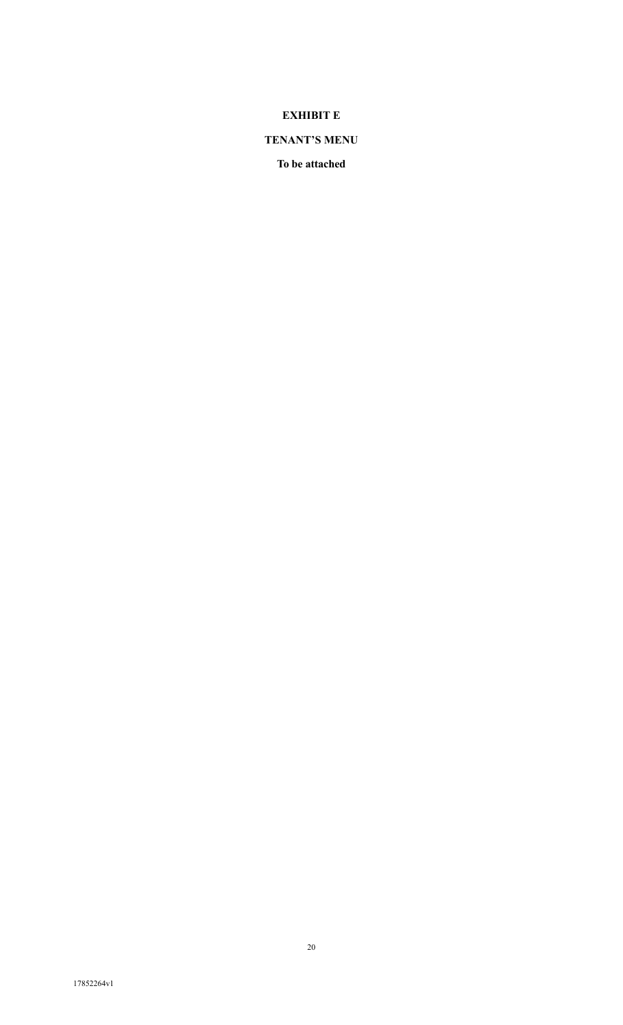# **EXHIBIT E**

# **TENANT'S MENU**

**To be attached**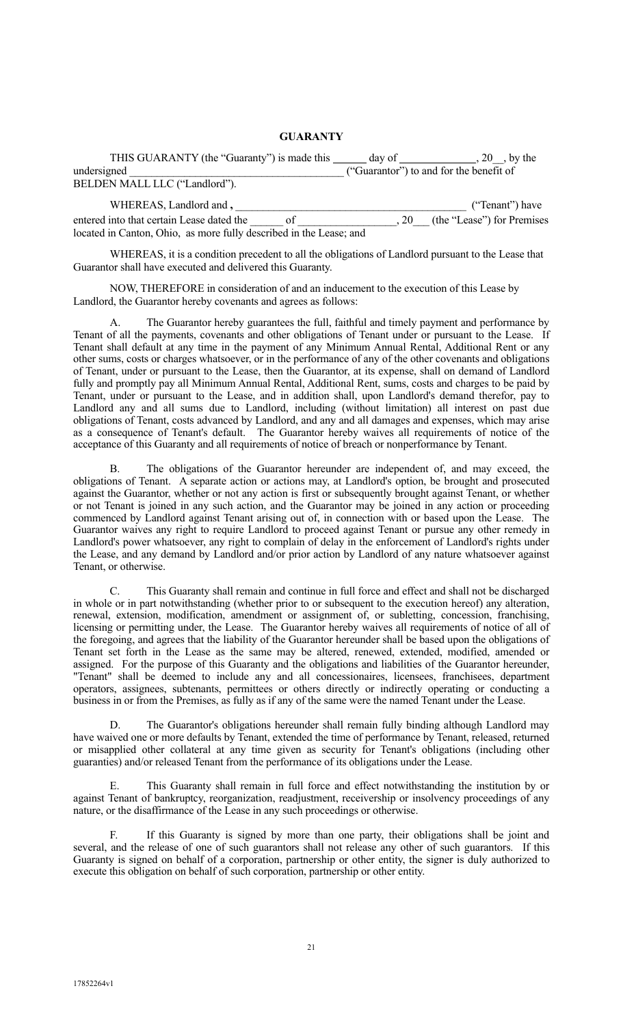### **GUARANTY**

| THIS GUARANTY (the "Guaranty") is made this day of the same set of the set of the set of the set of the set of the set of the set of the set of the set of the set of the set of the set of the set of the set of the set of t |                                         |
|--------------------------------------------------------------------------------------------------------------------------------------------------------------------------------------------------------------------------------|-----------------------------------------|
| undersigned                                                                                                                                                                                                                    | ("Guarantor") to and for the benefit of |
| BELDEN MALL LLC ("Landlord").                                                                                                                                                                                                  |                                         |
| WHEREAS, Landlord and,                                                                                                                                                                                                         | ("Tenant") have                         |
| entered into that certain Lease dated the<br>Ωf                                                                                                                                                                                | (the "Lease") for Premises<br>20        |
| located in Canton, Ohio, as more fully described in the Lease; and                                                                                                                                                             |                                         |

 WHEREAS, it is a condition precedent to all the obligations of Landlord pursuant to the Lease that Guarantor shall have executed and delivered this Guaranty.

 NOW, THEREFORE in consideration of and an inducement to the execution of this Lease by Landlord, the Guarantor hereby covenants and agrees as follows:

The Guarantor hereby guarantees the full, faithful and timely payment and performance by Tenant of all the payments, covenants and other obligations of Tenant under or pursuant to the Lease. If Tenant shall default at any time in the payment of any Minimum Annual Rental, Additional Rent or any other sums, costs or charges whatsoever, or in the performance of any of the other covenants and obligations of Tenant, under or pursuant to the Lease, then the Guarantor, at its expense, shall on demand of Landlord fully and promptly pay all Minimum Annual Rental, Additional Rent, sums, costs and charges to be paid by Tenant, under or pursuant to the Lease, and in addition shall, upon Landlord's demand therefor, pay to Landlord any and all sums due to Landlord, including (without limitation) all interest on past due obligations of Tenant, costs advanced by Landlord, and any and all damages and expenses, which may arise as a consequence of Tenant's default. The Guarantor hereby waives all requirements of notice of the acceptance of this Guaranty and all requirements of notice of breach or nonperformance by Tenant.

 B. The obligations of the Guarantor hereunder are independent of, and may exceed, the obligations of Tenant. A separate action or actions may, at Landlord's option, be brought and prosecuted against the Guarantor, whether or not any action is first or subsequently brought against Tenant, or whether or not Tenant is joined in any such action, and the Guarantor may be joined in any action or proceeding commenced by Landlord against Tenant arising out of, in connection with or based upon the Lease. The Guarantor waives any right to require Landlord to proceed against Tenant or pursue any other remedy in Landlord's power whatsoever, any right to complain of delay in the enforcement of Landlord's rights under the Lease, and any demand by Landlord and/or prior action by Landlord of any nature whatsoever against Tenant, or otherwise.

 C. This Guaranty shall remain and continue in full force and effect and shall not be discharged in whole or in part notwithstanding (whether prior to or subsequent to the execution hereof) any alteration, renewal, extension, modification, amendment or assignment of, or subletting, concession, franchising, licensing or permitting under, the Lease. The Guarantor hereby waives all requirements of notice of all of the foregoing, and agrees that the liability of the Guarantor hereunder shall be based upon the obligations of Tenant set forth in the Lease as the same may be altered, renewed, extended, modified, amended or assigned. For the purpose of this Guaranty and the obligations and liabilities of the Guarantor hereunder, "Tenant" shall be deemed to include any and all concessionaires, licensees, franchisees, department operators, assignees, subtenants, permittees or others directly or indirectly operating or conducting a business in or from the Premises, as fully as if any of the same were the named Tenant under the Lease.

 D. The Guarantor's obligations hereunder shall remain fully binding although Landlord may have waived one or more defaults by Tenant, extended the time of performance by Tenant, released, returned or misapplied other collateral at any time given as security for Tenant's obligations (including other guaranties) and/or released Tenant from the performance of its obligations under the Lease.

This Guaranty shall remain in full force and effect notwithstanding the institution by or against Tenant of bankruptcy, reorganization, readjustment, receivership or insolvency proceedings of any nature, or the disaffirmance of the Lease in any such proceedings or otherwise.

 F. If this Guaranty is signed by more than one party, their obligations shall be joint and several, and the release of one of such guarantors shall not release any other of such guarantors. If this Guaranty is signed on behalf of a corporation, partnership or other entity, the signer is duly authorized to execute this obligation on behalf of such corporation, partnership or other entity.